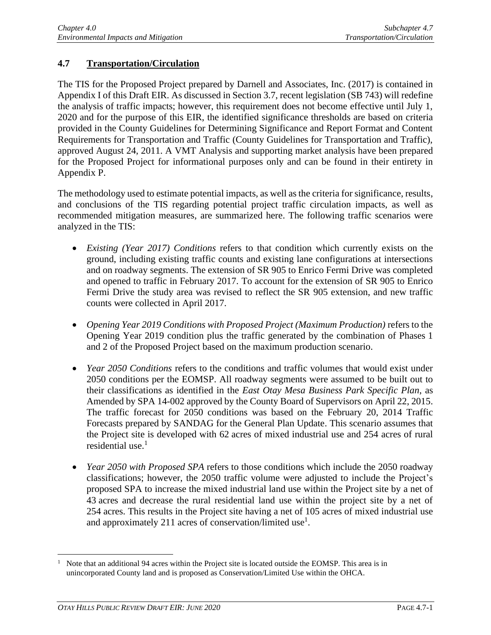# **4.7 Transportation/Circulation**

The TIS for the Proposed Project prepared by Darnell and Associates, Inc. (2017) is contained in Appendix I of this Draft EIR. As discussed in Section 3.7, recent legislation (SB 743) will redefine the analysis of traffic impacts; however, this requirement does not become effective until July 1, 2020 and for the purpose of this EIR, the identified significance thresholds are based on criteria provided in the County Guidelines for Determining Significance and Report Format and Content Requirements for Transportation and Traffic (County Guidelines for Transportation and Traffic), approved August 24, 2011. A VMT Analysis and supporting market analysis have been prepared for the Proposed Project for informational purposes only and can be found in their entirety in Appendix P.

The methodology used to estimate potential impacts, as well as the criteria for significance, results, and conclusions of the TIS regarding potential project traffic circulation impacts, as well as recommended mitigation measures, are summarized here. The following traffic scenarios were analyzed in the TIS:

- *Existing (Year 2017) Conditions* refers to that condition which currently exists on the ground, including existing traffic counts and existing lane configurations at intersections and on roadway segments. The extension of SR 905 to Enrico Fermi Drive was completed and opened to traffic in February 2017. To account for the extension of SR 905 to Enrico Fermi Drive the study area was revised to reflect the SR 905 extension, and new traffic counts were collected in April 2017.
- *Opening Year 2019 Conditions with Proposed Project (Maximum Production)* refers to the Opening Year 2019 condition plus the traffic generated by the combination of Phases 1 and 2 of the Proposed Project based on the maximum production scenario.
- *Year 2050 Conditions* refers to the conditions and traffic volumes that would exist under 2050 conditions per the EOMSP. All roadway segments were assumed to be built out to their classifications as identified in the *East Otay Mesa Business Park Specific Plan*, as Amended by SPA 14-002 approved by the County Board of Supervisors on April 22, 2015. The traffic forecast for 2050 conditions was based on the February 20, 2014 Traffic Forecasts prepared by SANDAG for the General Plan Update. This scenario assumes that the Project site is developed with 62 acres of mixed industrial use and 254 acres of rural residential use. $<sup>1</sup>$ </sup>
- *Year 2050 with Proposed SPA* refers to those conditions which include the 2050 roadway classifications; however, the 2050 traffic volume were adjusted to include the Project's proposed SPA to increase the mixed industrial land use within the Project site by a net of 43 acres and decrease the rural residential land use within the project site by a net of 254 acres. This results in the Project site having a net of 105 acres of mixed industrial use and approximately 211 acres of conservation/limited use<sup>1</sup>.

<sup>1</sup> Note that an additional 94 acres within the Project site is located outside the EOMSP. This area is in unincorporated County land and is proposed as Conservation/Limited Use within the OHCA.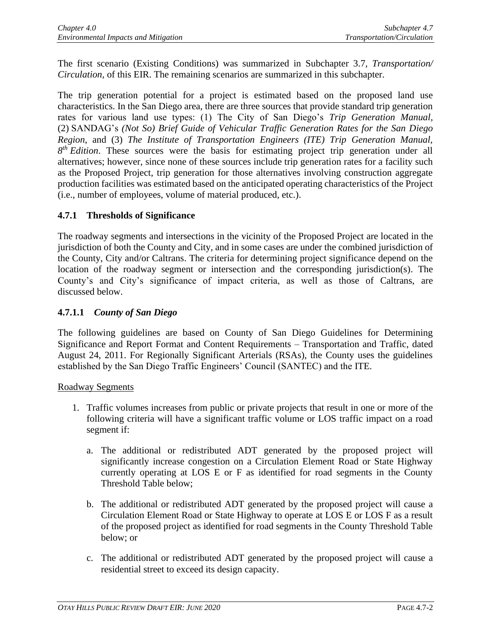The first scenario (Existing Conditions) was summarized in Subchapter 3.7, *Transportation/ Circulation,* of this EIR. The remaining scenarios are summarized in this subchapter.

The trip generation potential for a project is estimated based on the proposed land use characteristics. In the San Diego area, there are three sources that provide standard trip generation rates for various land use types: (1) The City of San Diego's *Trip Generation Manual*, (2) SANDAG's *(Not So) Brief Guide of Vehicular Traffic Generation Rates for the San Diego Region*, and (3) *The Institute of Transportation Engineers (ITE) Trip Generation Manual,*  8<sup>th</sup> Edition. These sources were the basis for estimating project trip generation under all alternatives; however, since none of these sources include trip generation rates for a facility such as the Proposed Project, trip generation for those alternatives involving construction aggregate production facilities was estimated based on the anticipated operating characteristics of the Project (i.e., number of employees, volume of material produced, etc.).

# **4.7.1 Thresholds of Significance**

The roadway segments and intersections in the vicinity of the Proposed Project are located in the jurisdiction of both the County and City, and in some cases are under the combined jurisdiction of the County, City and/or Caltrans. The criteria for determining project significance depend on the location of the roadway segment or intersection and the corresponding jurisdiction(s). The County's and City's significance of impact criteria, as well as those of Caltrans, are discussed below.

# **4.7.1.1** *County of San Diego*

The following guidelines are based on County of San Diego Guidelines for Determining Significance and Report Format and Content Requirements – Transportation and Traffic, dated August 24, 2011. For Regionally Significant Arterials (RSAs), the County uses the guidelines established by the San Diego Traffic Engineers' Council (SANTEC) and the ITE.

### Roadway Segments

- 1. Traffic volumes increases from public or private projects that result in one or more of the following criteria will have a significant traffic volume or LOS traffic impact on a road segment if:
	- a. The additional or redistributed ADT generated by the proposed project will significantly increase congestion on a Circulation Element Road or State Highway currently operating at LOS E or F as identified for road segments in the County Threshold Table below;
	- b. The additional or redistributed ADT generated by the proposed project will cause a Circulation Element Road or State Highway to operate at LOS E or LOS F as a result of the proposed project as identified for road segments in the County Threshold Table below; or
	- c. The additional or redistributed ADT generated by the proposed project will cause a residential street to exceed its design capacity.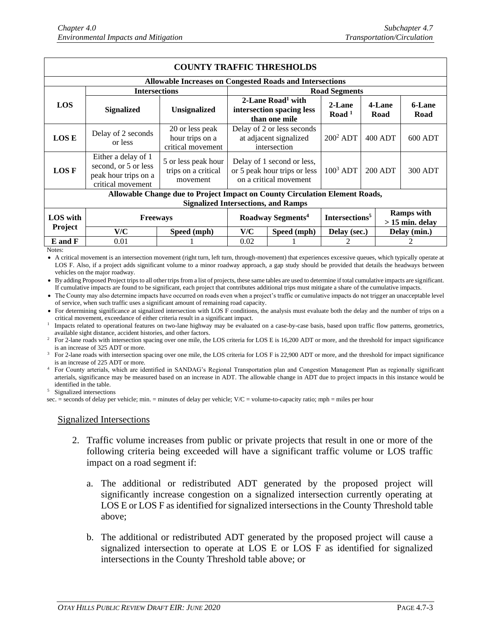|                 |                                                                                          | <b>COUNTY TRAFFIC THRESHOLDS</b>                                            |      |                                                                                      |                             |                |                                        |
|-----------------|------------------------------------------------------------------------------------------|-----------------------------------------------------------------------------|------|--------------------------------------------------------------------------------------|-----------------------------|----------------|----------------------------------------|
|                 |                                                                                          | <b>Allowable Increases on Congested Roads and Intersections</b>             |      |                                                                                      |                             |                |                                        |
|                 | <b>Intersections</b>                                                                     |                                                                             |      |                                                                                      | <b>Road Segments</b>        |                |                                        |
| <b>LOS</b>      | <b>Signalized</b>                                                                        | <b>Unsignalized</b>                                                         |      | $2$ -Lane Road <sup>1</sup> with<br>intersection spacing less<br>than one mile       | 2-Lane<br>Road <sup>1</sup> | 4-Lane<br>Road | 6-Lane<br>Road                         |
| <b>LOS E</b>    | Delay of 2 seconds<br>or less                                                            | 20 or less peak<br>hour trips on a<br>critical movement                     |      | Delay of 2 or less seconds<br>at adjacent signalized<br>intersection                 | $200^2$ ADT                 | 400 ADT        | 600 ADT                                |
| <b>LOS F</b>    | Either a delay of 1<br>second, or 5 or less<br>peak hour trips on a<br>critical movement | 5 or less peak hour<br>trips on a critical<br>movement                      |      | Delay of 1 second or less,<br>or 5 peak hour trips or less<br>on a critical movement | $100^3$ ADT                 | 200 ADT        | 300 ADT                                |
|                 |                                                                                          | Allowable Change due to Project Impact on County Circulation Element Roads, |      |                                                                                      |                             |                |                                        |
|                 |                                                                                          | <b>Signalized Intersections, and Ramps</b>                                  |      |                                                                                      |                             |                |                                        |
| <b>LOS</b> with | <b>Freeways</b>                                                                          |                                                                             |      | Roadway Segments <sup>4</sup>                                                        | Intersections <sup>5</sup>  |                | <b>Ramps</b> with<br>$> 15$ min. delay |
| <b>Project</b>  | V/C                                                                                      | Speed (mph)                                                                 | V/C  | Speed (mph)                                                                          | Delay (sec.)                |                | Delay (min.)                           |
| E and F         | 0.01                                                                                     |                                                                             | 0.02 |                                                                                      | 2                           |                |                                        |

Notes:

• A critical movement is an intersection movement (right turn, left turn, through-movement) that experiences excessive queues, which typically operate at LOS F. Also, if a project adds significant volume to a minor roadway approach, a gap study should be provided that details the headways between vehicles on the major roadway.

• By adding Proposed Project trips to all other trips from a list of projects, these same tables are used to determine if total cumulative impacts are significant. If cumulative impacts are found to be significant, each project that contributes additional trips must mitigate a share of the cumulative impacts.

• The County may also determine impacts have occurred on roads even when a project's traffic or cumulative impacts do not trigger an unacceptable level of service, when such traffic uses a significant amount of remaining road capacity.

• For determining significance at signalized intersection with LOS F conditions, the analysis must evaluate both the delay and the number of trips on a critical movement, exceedance of either criteria result in a significant impact.

<sup>1</sup> Impacts related to operational features on two-lane highway may be evaluated on a case-by-case basis, based upon traffic flow patterns, geometrics, available sight distance, accident histories, and other factors.

<sup>2</sup> For 2-lane roads with intersection spacing over one mile, the LOS criteria for LOS E is 16,200 ADT or more, and the threshold for impact significance is an increase of 325 ADT or more.

<sup>3</sup> For 2-lane roads with intersection spacing over one mile, the LOS criteria for LOS F is 22,900 ADT or more, and the threshold for impact significance is an increase of 225 ADT or more.

<sup>4</sup> For County arterials, which are identified in SANDAG's Regional Transportation plan and Congestion Management Plan as regionally significant arterials, significance may be measured based on an increase in ADT. The allowable change in ADT due to project impacts in this instance would be identified in the table.

<sup>5</sup> Signalized intersections

sec. = seconds of delay per vehicle; min. = minutes of delay per vehicle; V/C = volume-to-capacity ratio; mph = miles per hour

#### Signalized Intersections

- 2. Traffic volume increases from public or private projects that result in one or more of the following criteria being exceeded will have a significant traffic volume or LOS traffic impact on a road segment if:
	- a. The additional or redistributed ADT generated by the proposed project will significantly increase congestion on a signalized intersection currently operating at LOS E or LOS F as identified for signalized intersections in the County Threshold table above;
	- b. The additional or redistributed ADT generated by the proposed project will cause a signalized intersection to operate at LOS E or LOS F as identified for signalized intersections in the County Threshold table above; or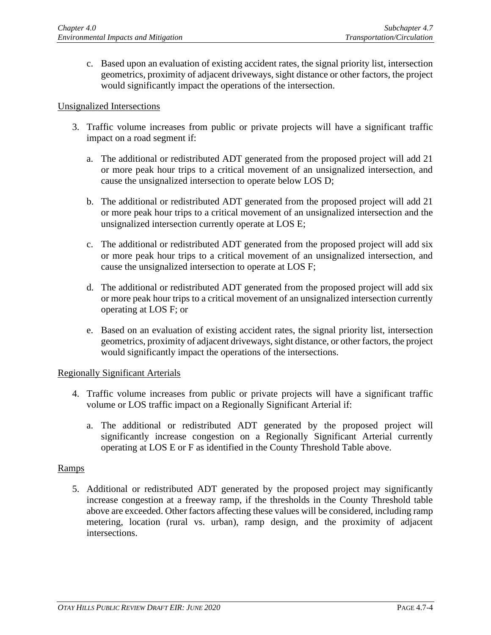c. Based upon an evaluation of existing accident rates, the signal priority list, intersection geometrics, proximity of adjacent driveways, sight distance or other factors, the project would significantly impact the operations of the intersection.

## Unsignalized Intersections

- 3. Traffic volume increases from public or private projects will have a significant traffic impact on a road segment if:
	- a. The additional or redistributed ADT generated from the proposed project will add 21 or more peak hour trips to a critical movement of an unsignalized intersection, and cause the unsignalized intersection to operate below LOS D;
	- b. The additional or redistributed ADT generated from the proposed project will add 21 or more peak hour trips to a critical movement of an unsignalized intersection and the unsignalized intersection currently operate at LOS E;
	- c. The additional or redistributed ADT generated from the proposed project will add six or more peak hour trips to a critical movement of an unsignalized intersection, and cause the unsignalized intersection to operate at LOS F;
	- d. The additional or redistributed ADT generated from the proposed project will add six or more peak hour trips to a critical movement of an unsignalized intersection currently operating at LOS F; or
	- e. Based on an evaluation of existing accident rates, the signal priority list, intersection geometrics, proximity of adjacent driveways, sight distance, or other factors, the project would significantly impact the operations of the intersections.

## Regionally Significant Arterials

- 4. Traffic volume increases from public or private projects will have a significant traffic volume or LOS traffic impact on a Regionally Significant Arterial if:
	- a. The additional or redistributed ADT generated by the proposed project will significantly increase congestion on a Regionally Significant Arterial currently operating at LOS E or F as identified in the County Threshold Table above.

## Ramps

5. Additional or redistributed ADT generated by the proposed project may significantly increase congestion at a freeway ramp, if the thresholds in the County Threshold table above are exceeded. Other factors affecting these values will be considered, including ramp metering, location (rural vs. urban), ramp design, and the proximity of adjacent intersections.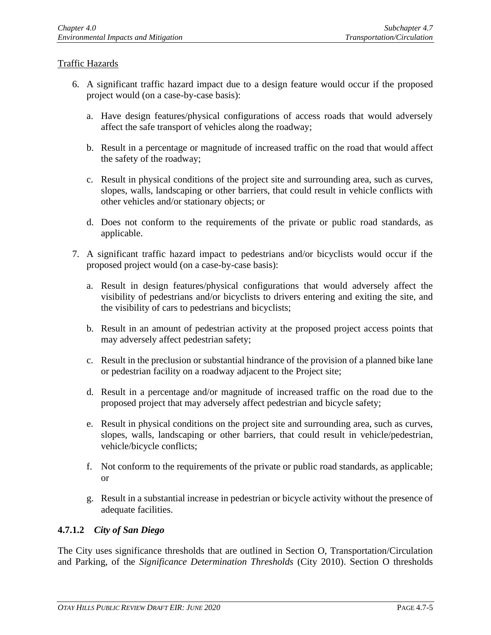## Traffic Hazards

- 6. A significant traffic hazard impact due to a design feature would occur if the proposed project would (on a case-by-case basis):
	- a. Have design features/physical configurations of access roads that would adversely affect the safe transport of vehicles along the roadway;
	- b. Result in a percentage or magnitude of increased traffic on the road that would affect the safety of the roadway;
	- c. Result in physical conditions of the project site and surrounding area, such as curves, slopes, walls, landscaping or other barriers, that could result in vehicle conflicts with other vehicles and/or stationary objects; or
	- d. Does not conform to the requirements of the private or public road standards, as applicable.
- 7. A significant traffic hazard impact to pedestrians and/or bicyclists would occur if the proposed project would (on a case-by-case basis):
	- a. Result in design features/physical configurations that would adversely affect the visibility of pedestrians and/or bicyclists to drivers entering and exiting the site, and the visibility of cars to pedestrians and bicyclists;
	- b. Result in an amount of pedestrian activity at the proposed project access points that may adversely affect pedestrian safety;
	- c. Result in the preclusion or substantial hindrance of the provision of a planned bike lane or pedestrian facility on a roadway adjacent to the Project site;
	- d. Result in a percentage and/or magnitude of increased traffic on the road due to the proposed project that may adversely affect pedestrian and bicycle safety;
	- e. Result in physical conditions on the project site and surrounding area, such as curves, slopes, walls, landscaping or other barriers, that could result in vehicle/pedestrian, vehicle/bicycle conflicts;
	- f. Not conform to the requirements of the private or public road standards, as applicable; or
	- g. Result in a substantial increase in pedestrian or bicycle activity without the presence of adequate facilities.

## **4.7.1.2** *City of San Diego*

The City uses significance thresholds that are outlined in Section O, Transportation/Circulation and Parking, of the *Significance Determination Thresholds* (City 2010). Section O thresholds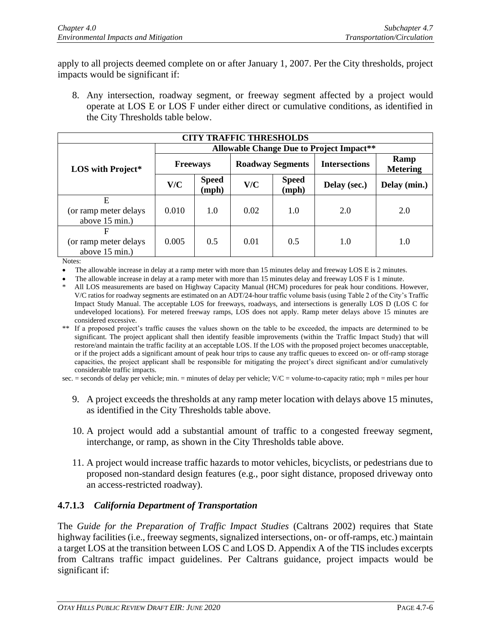apply to all projects deemed complete on or after January 1, 2007. Per the City thresholds, project impacts would be significant if:

8. Any intersection, roadway segment, or freeway segment affected by a project would operate at LOS E or LOS F under either direct or cumulative conditions, as identified in the City Thresholds table below.

|                                               |                 |                       | <b>CITY TRAFFIC THRESHOLDS</b> |                       |                                                 |                         |
|-----------------------------------------------|-----------------|-----------------------|--------------------------------|-----------------------|-------------------------------------------------|-------------------------|
|                                               |                 |                       |                                |                       | <b>Allowable Change Due to Project Impact**</b> |                         |
| <b>LOS</b> with Project*                      | <b>Freeways</b> |                       | <b>Roadway Segments</b>        |                       | <b>Intersections</b>                            | Ramp<br><b>Metering</b> |
|                                               | V/C             | <b>Speed</b><br>(mph) | V/C                            | <b>Speed</b><br>(mph) | Delay (sec.)                                    | Delay (min.)            |
| Е<br>(or ramp meter delays<br>above 15 min.)  | 0.010           | 1.0                   | 0.02                           | 1.0                   | 2.0                                             | 2.0                     |
| F<br>(or ramp meter delays)<br>above 15 min.) | 0.005           | 0.5                   | 0.01                           | 0.5                   | 1.0                                             | 1.0                     |

Notes:

• The allowable increase in delay at a ramp meter with more than 15 minutes delay and freeway LOS E is 2 minutes.

• The allowable increase in delay at a ramp meter with more than 15 minutes delay and freeway LOS F is 1 minute.

- All LOS measurements are based on Highway Capacity Manual (HCM) procedures for peak hour conditions. However, V/C ratios for roadway segments are estimated on an ADT/24-hour traffic volume basis (using Table 2 of the City's Traffic Impact Study Manual. The acceptable LOS for freeways, roadways, and intersections is generally LOS D (LOS C for undeveloped locations). For metered freeway ramps, LOS does not apply. Ramp meter delays above 15 minutes are considered excessive.
- \*\* If a proposed project's traffic causes the values shown on the table to be exceeded, the impacts are determined to be significant. The project applicant shall then identify feasible improvements (within the Traffic Impact Study) that will restore/and maintain the traffic facility at an acceptable LOS. If the LOS with the proposed project becomes unacceptable, or if the project adds a significant amount of peak hour trips to cause any traffic queues to exceed on- or off-ramp storage capacities, the project applicant shall be responsible for mitigating the project's direct significant and/or cumulatively considerable traffic impacts.

sec. = seconds of delay per vehicle; min. = minutes of delay per vehicle; V/C = volume-to-capacity ratio; mph = miles per hour

- 9. A project exceeds the thresholds at any ramp meter location with delays above 15 minutes, as identified in the City Thresholds table above.
- 10. A project would add a substantial amount of traffic to a congested freeway segment, interchange, or ramp, as shown in the City Thresholds table above.
- 11. A project would increase traffic hazards to motor vehicles, bicyclists, or pedestrians due to proposed non-standard design features (e.g., poor sight distance, proposed driveway onto an access-restricted roadway).

## **4.7.1.3** *California Department of Transportation*

The *Guide for the Preparation of Traffic Impact Studies* (Caltrans 2002) requires that State highway facilities (i.e., freeway segments, signalized intersections, on- or off-ramps, etc.) maintain a target LOS at the transition between LOS C and LOS D. Appendix A of the TIS includes excerpts from Caltrans traffic impact guidelines. Per Caltrans guidance, project impacts would be significant if: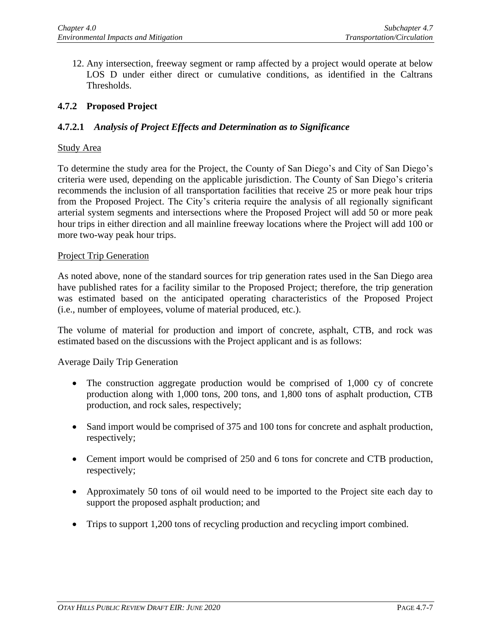12. Any intersection, freeway segment or ramp affected by a project would operate at below LOS D under either direct or cumulative conditions, as identified in the Caltrans Thresholds.

## **4.7.2 Proposed Project**

## **4.7.2.1** *Analysis of Project Effects and Determination as to Significance*

## Study Area

To determine the study area for the Project, the County of San Diego's and City of San Diego's criteria were used, depending on the applicable jurisdiction. The County of San Diego's criteria recommends the inclusion of all transportation facilities that receive 25 or more peak hour trips from the Proposed Project. The City's criteria require the analysis of all regionally significant arterial system segments and intersections where the Proposed Project will add 50 or more peak hour trips in either direction and all mainline freeway locations where the Project will add 100 or more two-way peak hour trips.

### Project Trip Generation

As noted above, none of the standard sources for trip generation rates used in the San Diego area have published rates for a facility similar to the Proposed Project; therefore, the trip generation was estimated based on the anticipated operating characteristics of the Proposed Project (i.e., number of employees, volume of material produced, etc.).

The volume of material for production and import of concrete, asphalt, CTB, and rock was estimated based on the discussions with the Project applicant and is as follows:

Average Daily Trip Generation

- The construction aggregate production would be comprised of 1,000 cy of concrete production along with 1,000 tons, 200 tons, and 1,800 tons of asphalt production, CTB production, and rock sales, respectively;
- Sand import would be comprised of 375 and 100 tons for concrete and asphalt production, respectively;
- Cement import would be comprised of 250 and 6 tons for concrete and CTB production, respectively;
- Approximately 50 tons of oil would need to be imported to the Project site each day to support the proposed asphalt production; and
- Trips to support 1,200 tons of recycling production and recycling import combined.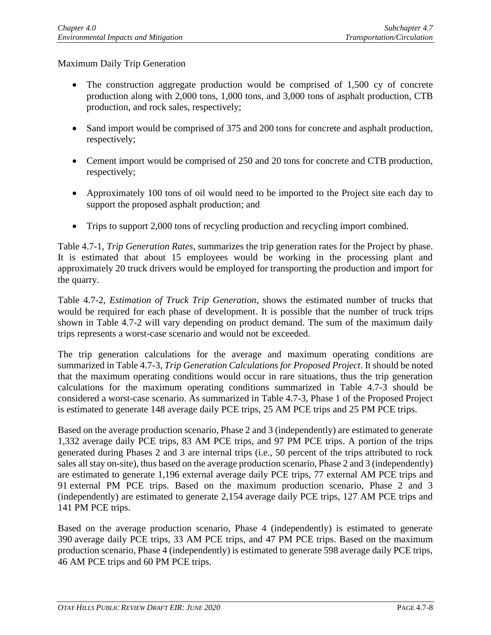Maximum Daily Trip Generation

- The construction aggregate production would be comprised of 1,500 cy of concrete production along with 2,000 tons, 1,000 tons, and 3,000 tons of asphalt production, CTB production, and rock sales, respectively;
- Sand import would be comprised of 375 and 200 tons for concrete and asphalt production, respectively;
- Cement import would be comprised of 250 and 20 tons for concrete and CTB production, respectively;
- Approximately 100 tons of oil would need to be imported to the Project site each day to support the proposed asphalt production; and
- Trips to support 2,000 tons of recycling production and recycling import combined.

Table 4.7-1, *Trip Generation Rates*, summarizes the trip generation rates for the Project by phase. It is estimated that about 15 employees would be working in the processing plant and approximately 20 truck drivers would be employed for transporting the production and import for the quarry.

Table 4.7-2, *Estimation of Truck Trip Generation*, shows the estimated number of trucks that would be required for each phase of development. It is possible that the number of truck trips shown in Table 4.7-2 will vary depending on product demand. The sum of the maximum daily trips represents a worst-case scenario and would not be exceeded.

The trip generation calculations for the average and maximum operating conditions are summarized in Table 4.7-3, *Trip Generation Calculations for Proposed Project*. It should be noted that the maximum operating conditions would occur in rare situations, thus the trip generation calculations for the maximum operating conditions summarized in Table 4.7-3 should be considered a worst-case scenario. As summarized in Table 4.7-3, Phase 1 of the Proposed Project is estimated to generate 148 average daily PCE trips, 25 AM PCE trips and 25 PM PCE trips.

Based on the average production scenario, Phase 2 and 3 (independently) are estimated to generate 1,332 average daily PCE trips, 83 AM PCE trips, and 97 PM PCE trips. A portion of the trips generated during Phases 2 and 3 are internal trips (i.e., 50 percent of the trips attributed to rock sales all stay on-site), thus based on the average production scenario, Phase 2 and 3 (independently) are estimated to generate 1,196 external average daily PCE trips, 77 external AM PCE trips and 91 external PM PCE trips. Based on the maximum production scenario, Phase 2 and 3 (independently) are estimated to generate 2,154 average daily PCE trips, 127 AM PCE trips and 141 PM PCE trips.

Based on the average production scenario, Phase 4 (independently) is estimated to generate 390 average daily PCE trips, 33 AM PCE trips, and 47 PM PCE trips. Based on the maximum production scenario, Phase 4 (independently) is estimated to generate 598 average daily PCE trips, 46 AM PCE trips and 60 PM PCE trips.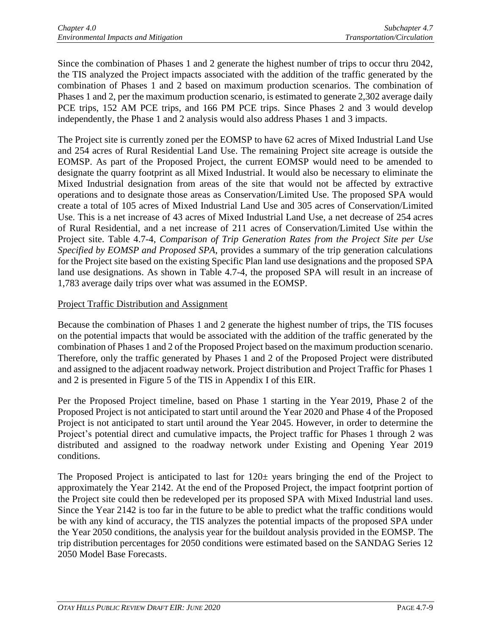Since the combination of Phases 1 and 2 generate the highest number of trips to occur thru 2042, the TIS analyzed the Project impacts associated with the addition of the traffic generated by the combination of Phases 1 and 2 based on maximum production scenarios. The combination of Phases 1 and 2, per the maximum production scenario, is estimated to generate 2,302 average daily PCE trips, 152 AM PCE trips, and 166 PM PCE trips. Since Phases 2 and 3 would develop independently, the Phase 1 and 2 analysis would also address Phases 1 and 3 impacts.

The Project site is currently zoned per the EOMSP to have 62 acres of Mixed Industrial Land Use and 254 acres of Rural Residential Land Use. The remaining Project site acreage is outside the EOMSP. As part of the Proposed Project, the current EOMSP would need to be amended to designate the quarry footprint as all Mixed Industrial. It would also be necessary to eliminate the Mixed Industrial designation from areas of the site that would not be affected by extractive operations and to designate those areas as Conservation/Limited Use. The proposed SPA would create a total of 105 acres of Mixed Industrial Land Use and 305 acres of Conservation/Limited Use. This is a net increase of 43 acres of Mixed Industrial Land Use, a net decrease of 254 acres of Rural Residential, and a net increase of 211 acres of Conservation/Limited Use within the Project site. Table 4.7-4, *Comparison of Trip Generation Rates from the Project Site per Use Specified by EOMSP and Proposed SPA*, provides a summary of the trip generation calculations for the Project site based on the existing Specific Plan land use designations and the proposed SPA land use designations. As shown in Table 4.7-4, the proposed SPA will result in an increase of 1,783 average daily trips over what was assumed in the EOMSP.

## Project Traffic Distribution and Assignment

Because the combination of Phases 1 and 2 generate the highest number of trips, the TIS focuses on the potential impacts that would be associated with the addition of the traffic generated by the combination of Phases 1 and 2 of the Proposed Project based on the maximum production scenario. Therefore, only the traffic generated by Phases 1 and 2 of the Proposed Project were distributed and assigned to the adjacent roadway network. Project distribution and Project Traffic for Phases 1 and 2 is presented in Figure 5 of the TIS in Appendix I of this EIR.

Per the Proposed Project timeline, based on Phase 1 starting in the Year 2019, Phase 2 of the Proposed Project is not anticipated to start until around the Year 2020 and Phase 4 of the Proposed Project is not anticipated to start until around the Year 2045. However, in order to determine the Project's potential direct and cumulative impacts, the Project traffic for Phases 1 through 2 was distributed and assigned to the roadway network under Existing and Opening Year 2019 conditions.

The Proposed Project is anticipated to last for  $120<sub>±</sub>$  years bringing the end of the Project to approximately the Year 2142. At the end of the Proposed Project, the impact footprint portion of the Project site could then be redeveloped per its proposed SPA with Mixed Industrial land uses. Since the Year 2142 is too far in the future to be able to predict what the traffic conditions would be with any kind of accuracy, the TIS analyzes the potential impacts of the proposed SPA under the Year 2050 conditions, the analysis year for the buildout analysis provided in the EOMSP*.* The trip distribution percentages for 2050 conditions were estimated based on the SANDAG Series 12 2050 Model Base Forecasts.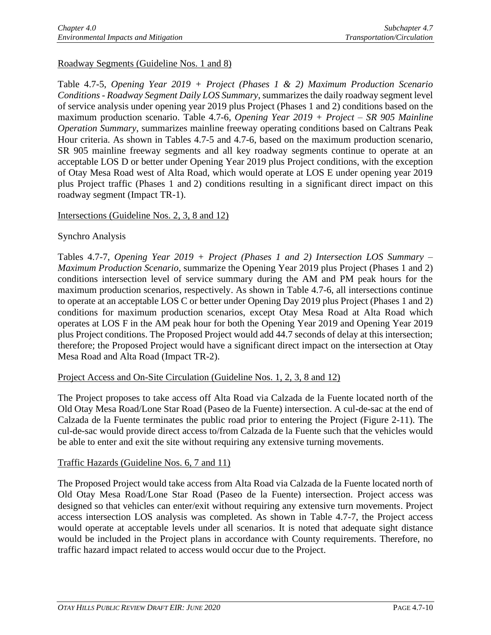## Roadway Segments (Guideline Nos. 1 and 8)

Table 4.7-5, *Opening Year 2019 + Project (Phases 1 & 2) Maximum Production Scenario Conditions - Roadway Segment Daily LOS Summary*, summarizes the daily roadway segment level of service analysis under opening year 2019 plus Project (Phases 1 and 2) conditions based on the maximum production scenario. Table 4.7-6, *Opening Year 2019 + Project – SR 905 Mainline Operation S*u*mmary*, summarizes mainline freeway operating conditions based on Caltrans Peak Hour criteria. As shown in Tables 4.7-5 and 4.7-6, based on the maximum production scenario, SR 905 mainline freeway segments and all key roadway segments continue to operate at an acceptable LOS D or better under Opening Year 2019 plus Project conditions, with the exception of Otay Mesa Road west of Alta Road, which would operate at LOS E under opening year 2019 plus Project traffic (Phases 1 and 2) conditions resulting in a significant direct impact on this roadway segment (Impact TR-1).

### Intersections (Guideline Nos. 2, 3, 8 and 12)

## Synchro Analysis

Tables 4.7-7, *Opening Year 2019 + Project (Phases 1 and 2) Intersection LOS Summary – Maximum Production Scenario*, summarize the Opening Year 2019 plus Project (Phases 1 and 2) conditions intersection level of service summary during the AM and PM peak hours for the maximum production scenarios, respectively. As shown in Table 4.7-6, all intersections continue to operate at an acceptable LOS C or better under Opening Day 2019 plus Project (Phases 1 and 2) conditions for maximum production scenarios, except Otay Mesa Road at Alta Road which operates at LOS F in the AM peak hour for both the Opening Year 2019 and Opening Year 2019 plus Project conditions. The Proposed Project would add 44.7 seconds of delay at this intersection; therefore; the Proposed Project would have a significant direct impact on the intersection at Otay Mesa Road and Alta Road (Impact TR-2).

### Project Access and On-Site Circulation (Guideline Nos. 1, 2, 3, 8 and 12)

The Project proposes to take access off Alta Road via Calzada de la Fuente located north of the Old Otay Mesa Road/Lone Star Road (Paseo de la Fuente) intersection. A cul-de-sac at the end of Calzada de la Fuente terminates the public road prior to entering the Project (Figure 2-11). The cul-de-sac would provide direct access to/from Calzada de la Fuente such that the vehicles would be able to enter and exit the site without requiring any extensive turning movements.

### Traffic Hazards (Guideline Nos. 6, 7 and 11)

The Proposed Project would take access from Alta Road via Calzada de la Fuente located north of Old Otay Mesa Road/Lone Star Road (Paseo de la Fuente) intersection. Project access was designed so that vehicles can enter/exit without requiring any extensive turn movements. Project access intersection LOS analysis was completed. As shown in Table 4.7-7, the Project access would operate at acceptable levels under all scenarios. It is noted that adequate sight distance would be included in the Project plans in accordance with County requirements. Therefore, no traffic hazard impact related to access would occur due to the Project.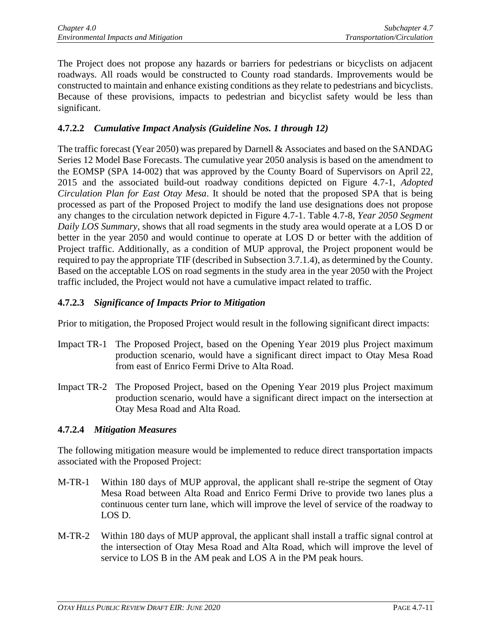The Project does not propose any hazards or barriers for pedestrians or bicyclists on adjacent roadways. All roads would be constructed to County road standards. Improvements would be constructed to maintain and enhance existing conditions as they relate to pedestrians and bicyclists. Because of these provisions, impacts to pedestrian and bicyclist safety would be less than significant.

## **4.7.2.2** *Cumulative Impact Analysis (Guideline Nos. 1 through 12)*

The traffic forecast (Year 2050) was prepared by Darnell & Associates and based on the SANDAG Series 12 Model Base Forecasts. The cumulative year 2050 analysis is based on the amendment to the EOMSP (SPA 14-002) that was approved by the County Board of Supervisors on April 22, 2015 and the associated build-out roadway conditions depicted on Figure 4.7-1, *Adopted Circulation Plan for East Otay Mesa*. It should be noted that the proposed SPA that is being processed as part of the Proposed Project to modify the land use designations does not propose any changes to the circulation network depicted in Figure 4.7-1. Table 4.7-8, *Year 2050 Segment Daily LOS Summary*, shows that all road segments in the study area would operate at a LOS D or better in the year 2050 and would continue to operate at LOS D or better with the addition of Project traffic. Additionally, as a condition of MUP approval, the Project proponent would be required to pay the appropriate TIF (described in Subsection 3.7.1.4), as determined by the County. Based on the acceptable LOS on road segments in the study area in the year 2050 with the Project traffic included, the Project would not have a cumulative impact related to traffic.

## **4.7.2.3** *Significance of Impacts Prior to Mitigation*

Prior to mitigation, the Proposed Project would result in the following significant direct impacts:

- Impact TR-1 The Proposed Project, based on the Opening Year 2019 plus Project maximum production scenario, would have a significant direct impact to Otay Mesa Road from east of Enrico Fermi Drive to Alta Road.
- Impact TR-2 The Proposed Project, based on the Opening Year 2019 plus Project maximum production scenario, would have a significant direct impact on the intersection at Otay Mesa Road and Alta Road.

## **4.7.2.4** *Mitigation Measures*

The following mitigation measure would be implemented to reduce direct transportation impacts associated with the Proposed Project:

- M-TR-1 Within 180 days of MUP approval, the applicant shall re-stripe the segment of Otay Mesa Road between Alta Road and Enrico Fermi Drive to provide two lanes plus a continuous center turn lane, which will improve the level of service of the roadway to LOS D.
- M-TR-2 Within 180 days of MUP approval, the applicant shall install a traffic signal control at the intersection of Otay Mesa Road and Alta Road, which will improve the level of service to LOS B in the AM peak and LOS A in the PM peak hours.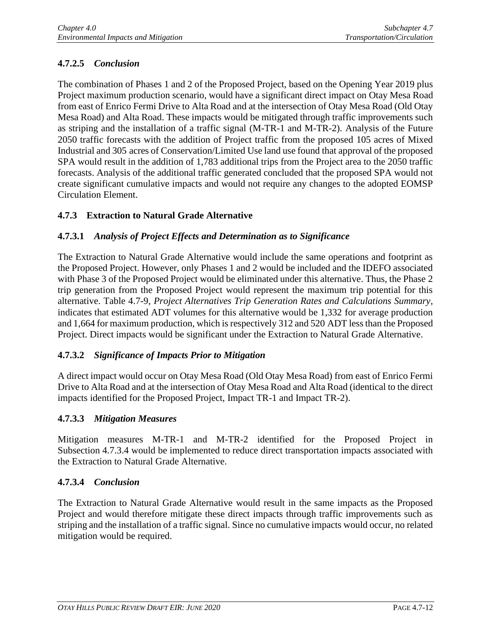# **4.7.2.5** *Conclusion*

The combination of Phases 1 and 2 of the Proposed Project, based on the Opening Year 2019 plus Project maximum production scenario, would have a significant direct impact on Otay Mesa Road from east of Enrico Fermi Drive to Alta Road and at the intersection of Otay Mesa Road (Old Otay Mesa Road) and Alta Road. These impacts would be mitigated through traffic improvements such as striping and the installation of a traffic signal (M-TR-1 and M-TR-2). Analysis of the Future 2050 traffic forecasts with the addition of Project traffic from the proposed 105 acres of Mixed Industrial and 305 acres of Conservation/Limited Use land use found that approval of the proposed SPA would result in the addition of 1,783 additional trips from the Project area to the 2050 traffic forecasts. Analysis of the additional traffic generated concluded that the proposed SPA would not create significant cumulative impacts and would not require any changes to the adopted EOMSP Circulation Element.

# **4.7.3 Extraction to Natural Grade Alternative**

## **4.7.3.1** *Analysis of Project Effects and Determination as to Significance*

The Extraction to Natural Grade Alternative would include the same operations and footprint as the Proposed Project. However, only Phases 1 and 2 would be included and the IDEFO associated with Phase 3 of the Proposed Project would be eliminated under this alternative. Thus, the Phase 2 trip generation from the Proposed Project would represent the maximum trip potential for this alternative. Table 4.7-9, *Project Alternatives Trip Generation Rates and Calculations Summary*, indicates that estimated ADT volumes for this alternative would be 1,332 for average production and 1,664 for maximum production, which is respectively 312 and 520 ADT less than the Proposed Project. Direct impacts would be significant under the Extraction to Natural Grade Alternative.

## **4.7.3.2** *Significance of Impacts Prior to Mitigation*

A direct impact would occur on Otay Mesa Road (Old Otay Mesa Road) from east of Enrico Fermi Drive to Alta Road and at the intersection of Otay Mesa Road and Alta Road (identical to the direct impacts identified for the Proposed Project, Impact TR-1 and Impact TR-2).

## **4.7.3.3** *Mitigation Measures*

Mitigation measures M-TR-1 and M-TR-2 identified for the Proposed Project in Subsection 4.7.3.4 would be implemented to reduce direct transportation impacts associated with the Extraction to Natural Grade Alternative.

## **4.7.3.4** *Conclusion*

The Extraction to Natural Grade Alternative would result in the same impacts as the Proposed Project and would therefore mitigate these direct impacts through traffic improvements such as striping and the installation of a traffic signal. Since no cumulative impacts would occur, no related mitigation would be required.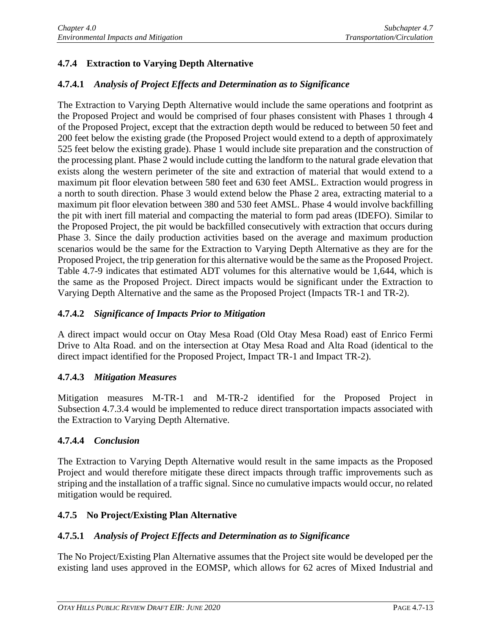# **4.7.4 Extraction to Varying Depth Alternative**

## **4.7.4.1** *Analysis of Project Effects and Determination as to Significance*

The Extraction to Varying Depth Alternative would include the same operations and footprint as the Proposed Project and would be comprised of four phases consistent with Phases 1 through 4 of the Proposed Project, except that the extraction depth would be reduced to between 50 feet and 200 feet below the existing grade (the Proposed Project would extend to a depth of approximately 525 feet below the existing grade). Phase 1 would include site preparation and the construction of the processing plant. Phase 2 would include cutting the landform to the natural grade elevation that exists along the western perimeter of the site and extraction of material that would extend to a maximum pit floor elevation between 580 feet and 630 feet AMSL. Extraction would progress in a north to south direction. Phase 3 would extend below the Phase 2 area, extracting material to a maximum pit floor elevation between 380 and 530 feet AMSL. Phase 4 would involve backfilling the pit with inert fill material and compacting the material to form pad areas (IDEFO). Similar to the Proposed Project, the pit would be backfilled consecutively with extraction that occurs during Phase 3. Since the daily production activities based on the average and maximum production scenarios would be the same for the Extraction to Varying Depth Alternative as they are for the Proposed Project, the trip generation for this alternative would be the same as the Proposed Project. Table 4.7-9 indicates that estimated ADT volumes for this alternative would be 1,644, which is the same as the Proposed Project. Direct impacts would be significant under the Extraction to Varying Depth Alternative and the same as the Proposed Project (Impacts TR-1 and TR-2).

## **4.7.4.2** *Significance of Impacts Prior to Mitigation*

A direct impact would occur on Otay Mesa Road (Old Otay Mesa Road) east of Enrico Fermi Drive to Alta Road. and on the intersection at Otay Mesa Road and Alta Road (identical to the direct impact identified for the Proposed Project, Impact TR-1 and Impact TR-2).

## **4.7.4.3** *Mitigation Measures*

Mitigation measures M-TR-1 and M-TR-2 identified for the Proposed Project in Subsection 4.7.3.4 would be implemented to reduce direct transportation impacts associated with the Extraction to Varying Depth Alternative.

## **4.7.4.4** *Conclusion*

The Extraction to Varying Depth Alternative would result in the same impacts as the Proposed Project and would therefore mitigate these direct impacts through traffic improvements such as striping and the installation of a traffic signal. Since no cumulative impacts would occur, no related mitigation would be required.

## **4.7.5 No Project/Existing Plan Alternative**

## **4.7.5.1** *Analysis of Project Effects and Determination as to Significance*

The No Project/Existing Plan Alternative assumes that the Project site would be developed per the existing land uses approved in the EOMSP, which allows for 62 acres of Mixed Industrial and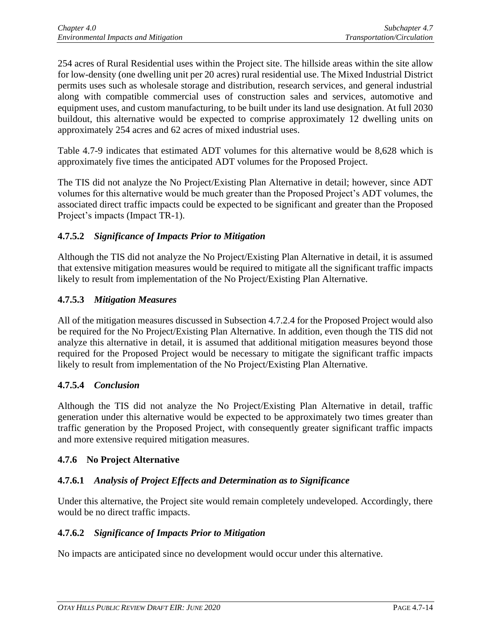254 acres of Rural Residential uses within the Project site. The hillside areas within the site allow for low-density (one dwelling unit per 20 acres) rural residential use. The Mixed Industrial District permits uses such as wholesale storage and distribution, research services, and general industrial along with compatible commercial uses of construction sales and services, automotive and equipment uses, and custom manufacturing, to be built under its land use designation. At full 2030 buildout, this alternative would be expected to comprise approximately 12 dwelling units on approximately 254 acres and 62 acres of mixed industrial uses.

Table 4.7-9 indicates that estimated ADT volumes for this alternative would be 8,628 which is approximately five times the anticipated ADT volumes for the Proposed Project.

The TIS did not analyze the No Project/Existing Plan Alternative in detail; however, since ADT volumes for this alternative would be much greater than the Proposed Project's ADT volumes, the associated direct traffic impacts could be expected to be significant and greater than the Proposed Project's impacts (Impact TR-1).

# **4.7.5.2** *Significance of Impacts Prior to Mitigation*

Although the TIS did not analyze the No Project/Existing Plan Alternative in detail, it is assumed that extensive mitigation measures would be required to mitigate all the significant traffic impacts likely to result from implementation of the No Project/Existing Plan Alternative.

## **4.7.5.3** *Mitigation Measures*

All of the mitigation measures discussed in Subsection 4.7.2.4 for the Proposed Project would also be required for the No Project/Existing Plan Alternative. In addition, even though the TIS did not analyze this alternative in detail, it is assumed that additional mitigation measures beyond those required for the Proposed Project would be necessary to mitigate the significant traffic impacts likely to result from implementation of the No Project/Existing Plan Alternative.

## **4.7.5.4** *Conclusion*

Although the TIS did not analyze the No Project/Existing Plan Alternative in detail, traffic generation under this alternative would be expected to be approximately two times greater than traffic generation by the Proposed Project, with consequently greater significant traffic impacts and more extensive required mitigation measures.

## **4.7.6 No Project Alternative**

## **4.7.6.1** *Analysis of Project Effects and Determination as to Significance*

Under this alternative, the Project site would remain completely undeveloped. Accordingly, there would be no direct traffic impacts.

## **4.7.6.2** *Significance of Impacts Prior to Mitigation*

No impacts are anticipated since no development would occur under this alternative.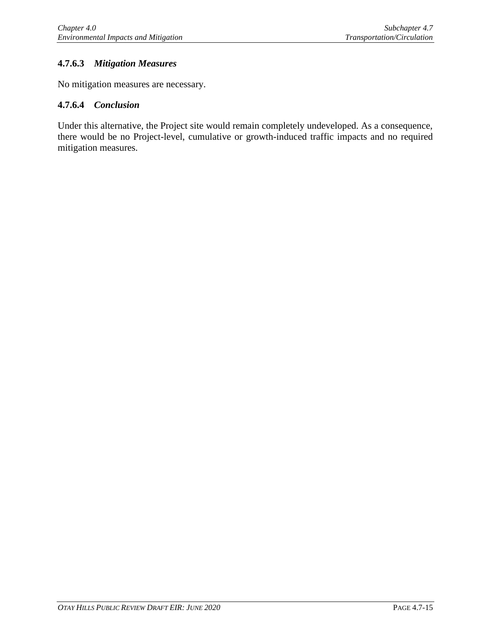# **4.7.6.3** *Mitigation Measures*

No mitigation measures are necessary.

## **4.7.6.4** *Conclusion*

Under this alternative, the Project site would remain completely undeveloped. As a consequence, there would be no Project-level, cumulative or growth-induced traffic impacts and no required mitigation measures.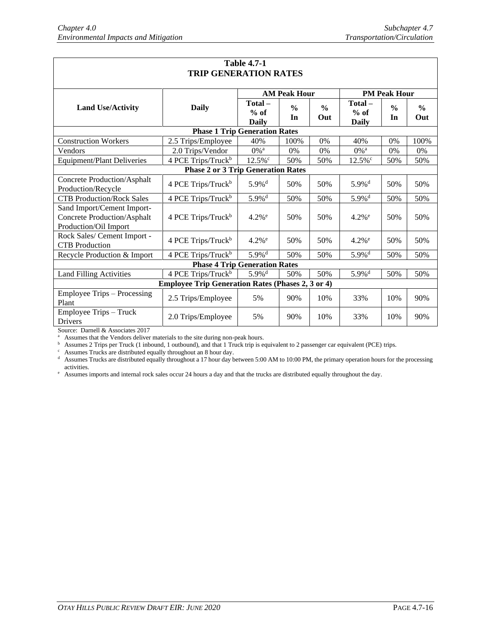| <b>Table 4.7-1</b>                                                                        |                                                          |                                  |                     |                      |                                  |                     |                      |  |  |  |  |  |  |  |
|-------------------------------------------------------------------------------------------|----------------------------------------------------------|----------------------------------|---------------------|----------------------|----------------------------------|---------------------|----------------------|--|--|--|--|--|--|--|
| <b>TRIP GENERATION RATES</b>                                                              |                                                          |                                  |                     |                      |                                  |                     |                      |  |  |  |  |  |  |  |
|                                                                                           |                                                          |                                  | <b>AM Peak Hour</b> |                      |                                  | <b>PM Peak Hour</b> |                      |  |  |  |  |  |  |  |
| <b>Land Use/Activity</b>                                                                  | <b>Daily</b>                                             | Total-<br>$%$ of<br><b>Daily</b> | $\frac{0}{0}$<br>In | $\frac{0}{0}$<br>Out | Total-<br>$%$ of<br><b>Daily</b> | $\frac{0}{0}$<br>In | $\frac{0}{0}$<br>Out |  |  |  |  |  |  |  |
|                                                                                           |                                                          |                                  |                     |                      |                                  |                     |                      |  |  |  |  |  |  |  |
| <b>Construction Workers</b>                                                               | 2.5 Trips/Employee                                       | 40%                              | 100%                | 0%                   | 40%                              | 0%                  | 100%                 |  |  |  |  |  |  |  |
| Vendors                                                                                   | 2.0 Trips/Vendor                                         | $0\%$ <sup>a</sup>               | 0%                  | 0%                   | $0\%$ <sup>a</sup>               | 0%                  | 0%                   |  |  |  |  |  |  |  |
| <b>Equipment/Plant Deliveries</b>                                                         | 4 PCE Trips/Truck <sup>b</sup>                           | 12.5%                            | 50%                 | 50%                  | $12.5\%$ <sup>c</sup>            | 50%                 | 50%                  |  |  |  |  |  |  |  |
| <b>Phase 2 or 3 Trip Generation Rates</b>                                                 |                                                          |                                  |                     |                      |                                  |                     |                      |  |  |  |  |  |  |  |
| <b>Concrete Production/Asphalt</b><br>Production/Recycle                                  | 4 PCE Trips/Truck <sup>b</sup>                           | $5.9\%$ <sup>d</sup>             | 50%                 | 50%                  | $5.9\%$ <sup>d</sup>             | 50%                 | 50%                  |  |  |  |  |  |  |  |
| <b>CTB Production/Rock Sales</b>                                                          | 4 PCE Trips/Truck <sup>b</sup>                           | 5.9% <sup>d</sup>                | 50%                 | 50%                  | 5.9% <sup>d</sup>                | 50%                 | 50%                  |  |  |  |  |  |  |  |
| Sand Import/Cement Import-<br><b>Concrete Production/Asphalt</b><br>Production/Oil Import | 4 PCE Trips/Truck <sup>b</sup>                           | $4.2%$ <sup>e</sup>              | 50%                 | 50%                  | $4.2%$ <sup>e</sup>              | 50%                 | 50%                  |  |  |  |  |  |  |  |
| Rock Sales/ Cement Import -<br><b>CTB</b> Production                                      | 4 PCE Trips/Truck <sup>b</sup>                           | $4.2%$ <sup>e</sup>              | 50%                 | 50%                  | $4.2%$ <sup>e</sup>              | 50%                 | 50%                  |  |  |  |  |  |  |  |
| Recycle Production & Import                                                               | 4 PCE Trips/Truck <sup>b</sup>                           | $5.9\%$ <sup>d</sup>             | 50%                 | 50%                  | $5.9\%$ <sup>d</sup>             | 50%                 | 50%                  |  |  |  |  |  |  |  |
|                                                                                           | <b>Phase 4 Trip Generation Rates</b>                     |                                  |                     |                      |                                  |                     |                      |  |  |  |  |  |  |  |
| <b>Land Filling Activities</b>                                                            | 4 PCE Trips/Truck <sup>b</sup>                           | $5.9\%$ <sup>d</sup>             | 50%                 | 50%                  | $5.9\%$ <sup>d</sup>             | 50%                 | 50%                  |  |  |  |  |  |  |  |
|                                                                                           | <b>Employee Trip Generation Rates (Phases 2, 3 or 4)</b> |                                  |                     |                      |                                  |                     |                      |  |  |  |  |  |  |  |
| Employee Trips – Processing<br>Plant                                                      | 2.5 Trips/Employee                                       | 5%                               | 90%                 | 10%                  | 33%                              | 10%                 | 90%                  |  |  |  |  |  |  |  |
| Employee Trips - Truck<br>Drivers                                                         | 2.0 Trips/Employee                                       | 5%                               | 90%                 | 10%                  | 33%                              | 10%                 | 90%                  |  |  |  |  |  |  |  |

Assumes that the Vendors deliver materials to the site during non-peak hours.

b Assumes 2 Trips per Truck (1 inbound, 1 outbound), and that 1 Truck trip is equivalent to 2 passenger car equivalent (PCE) trips.<br>  $\frac{1}{2}$ <br>
Assumes Trucks are distributed equally throughout an 8 hour day.

Exercise Trucks are distributed equally throughout an 8 hour day.<br>  $\frac{d}{dx}$  Assumes Trucks are distributed equally throughout a 17 hour day b

<sup>d</sup> Assumes Trucks are distributed equally throughout a 17 hour day between 5:00 AM to 10:00 PM, the primary operation hours for the processing activities.

<sup>e</sup> Assumes imports and internal rock sales occur 24 hours a day and that the trucks are distributed equally throughout the day.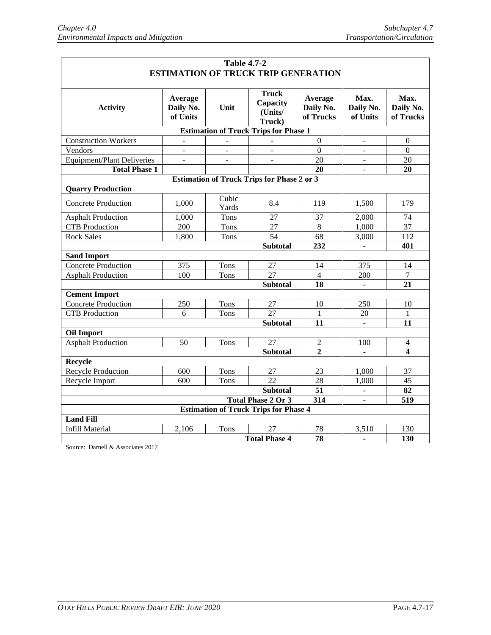| <b>Table 4.7-2</b>                                                                  |                                  |      |                                                   |                                   |                               |                                |  |  |  |  |  |  |  |  |
|-------------------------------------------------------------------------------------|----------------------------------|------|---------------------------------------------------|-----------------------------------|-------------------------------|--------------------------------|--|--|--|--|--|--|--|--|
| <b>ESTIMATION OF TRUCK TRIP GENERATION</b>                                          |                                  |      |                                                   |                                   |                               |                                |  |  |  |  |  |  |  |  |
| <b>Activity</b>                                                                     | Average<br>Daily No.<br>of Units | Unit | <b>Truck</b><br>Capacity<br>(Units/<br>Truck)     | Average<br>Daily No.<br>of Trucks | Max.<br>Daily No.<br>of Units | Max.<br>Daily No.<br>of Trucks |  |  |  |  |  |  |  |  |
|                                                                                     |                                  |      | <b>Estimation of Truck Trips for Phase 1</b>      |                                   |                               |                                |  |  |  |  |  |  |  |  |
| <b>Construction Workers</b>                                                         | $\overline{\phantom{a}}$         |      |                                                   | $\boldsymbol{0}$                  | ÷,                            | $\theta$                       |  |  |  |  |  |  |  |  |
| Vendors                                                                             | $\bar{\phantom{a}}$              |      | $\overline{a}$                                    | $\overline{0}$                    | $\overline{a}$                | $\overline{0}$                 |  |  |  |  |  |  |  |  |
| <b>Equipment/Plant Deliveries</b>                                                   |                                  |      |                                                   | 20                                |                               | 20                             |  |  |  |  |  |  |  |  |
| <b>Total Phase 1</b>                                                                |                                  |      |                                                   | 20                                | $\overline{a}$                | 20                             |  |  |  |  |  |  |  |  |
|                                                                                     |                                  |      | <b>Estimation of Truck Trips for Phase 2 or 3</b> |                                   |                               |                                |  |  |  |  |  |  |  |  |
| <b>Quarry Production</b>                                                            |                                  |      |                                                   |                                   |                               |                                |  |  |  |  |  |  |  |  |
| Cubic<br><b>Concrete Production</b><br>1,000<br>8.4<br>119<br>179<br>1,500<br>Yards |                                  |      |                                                   |                                   |                               |                                |  |  |  |  |  |  |  |  |
| <b>Asphalt Production</b><br>1,000<br>Tons<br>27<br>37<br>2,000<br>74               |                                  |      |                                                   |                                   |                               |                                |  |  |  |  |  |  |  |  |
| Tons<br>27<br>8<br>37<br><b>CTB</b> Production<br>200<br>1,000                      |                                  |      |                                                   |                                   |                               |                                |  |  |  |  |  |  |  |  |
| <b>Rock Sales</b>                                                                   | 1,800                            | Tons | 54                                                | 68                                | 3,000                         | 112                            |  |  |  |  |  |  |  |  |
| 232<br><b>Subtotal</b><br>401<br>$\blacksquare$                                     |                                  |      |                                                   |                                   |                               |                                |  |  |  |  |  |  |  |  |
| <b>Sand Import</b>                                                                  |                                  |      |                                                   |                                   |                               |                                |  |  |  |  |  |  |  |  |
| <b>Concrete Production</b>                                                          | 375                              | Tons | 27                                                | 14                                | 375                           | 14                             |  |  |  |  |  |  |  |  |
| <b>Asphalt Production</b>                                                           | 100                              | Tons | 27                                                | $\overline{4}$                    | 200                           | $\overline{7}$                 |  |  |  |  |  |  |  |  |
|                                                                                     |                                  |      | <b>Subtotal</b>                                   | 18                                | $\blacksquare$                | 21                             |  |  |  |  |  |  |  |  |
| <b>Cement Import</b>                                                                |                                  |      |                                                   |                                   |                               |                                |  |  |  |  |  |  |  |  |
| <b>Concrete Production</b>                                                          | 250                              | Tons | 27                                                | 10                                | 250                           | 10                             |  |  |  |  |  |  |  |  |
| <b>CTB</b> Production                                                               | 6                                | Tons | 27                                                | 1                                 | 20                            | $\mathbf{1}$                   |  |  |  |  |  |  |  |  |
|                                                                                     |                                  |      | <b>Subtotal</b>                                   | 11                                | $\blacksquare$                | 11                             |  |  |  |  |  |  |  |  |
| <b>Oil Import</b>                                                                   |                                  |      |                                                   |                                   |                               |                                |  |  |  |  |  |  |  |  |
| <b>Asphalt Production</b>                                                           | 50                               | Tons | 27                                                | $\overline{c}$                    | 100                           | $\overline{4}$                 |  |  |  |  |  |  |  |  |
|                                                                                     |                                  |      | <b>Subtotal</b>                                   | $\overline{2}$                    |                               | $\boldsymbol{4}$               |  |  |  |  |  |  |  |  |
| Recycle                                                                             |                                  |      |                                                   |                                   |                               |                                |  |  |  |  |  |  |  |  |
| <b>Recycle Production</b>                                                           | 600                              | Tons | 27                                                | 23                                | 1,000                         | 37                             |  |  |  |  |  |  |  |  |
| Recycle Import                                                                      | 600                              | Tons | $\overline{22}$                                   | 28                                | 1,000                         | 45                             |  |  |  |  |  |  |  |  |
|                                                                                     |                                  |      | <b>Subtotal</b>                                   | 51                                |                               | 82                             |  |  |  |  |  |  |  |  |
|                                                                                     |                                  |      | <b>Total Phase 2 Or 3</b>                         | 314                               | $\blacksquare$                | 519                            |  |  |  |  |  |  |  |  |
| <b>Estimation of Truck Trips for Phase 4</b>                                        |                                  |      |                                                   |                                   |                               |                                |  |  |  |  |  |  |  |  |
| <b>Land Fill</b>                                                                    |                                  |      |                                                   |                                   |                               |                                |  |  |  |  |  |  |  |  |
| <b>Infill Material</b>                                                              | 2,106                            | Tons | 27                                                | 78                                | 3,510                         | 130                            |  |  |  |  |  |  |  |  |
|                                                                                     |                                  |      | <b>Total Phase 4</b>                              | 78                                | $\blacksquare$                | 130                            |  |  |  |  |  |  |  |  |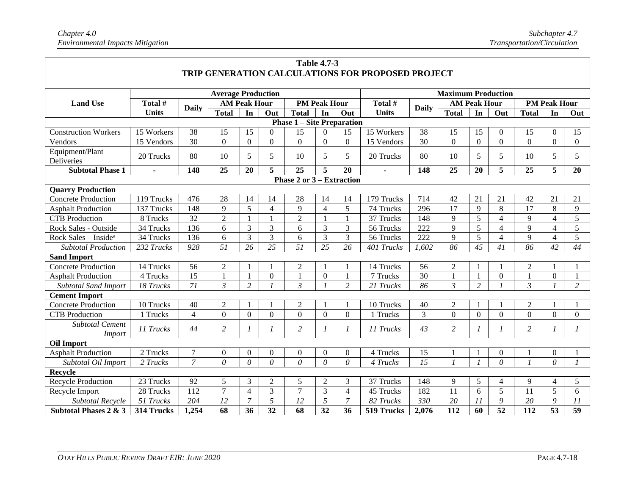| <b>Table 4.7-3</b><br>TRIP GENERATION CALCULATIONS FOR PROPOSED PROJECT                                                                               |                                                                                               |                 |                           |                     |                |                                   |                     |                  |              |                  |                           |                     |                |                |                          |                |
|-------------------------------------------------------------------------------------------------------------------------------------------------------|-----------------------------------------------------------------------------------------------|-----------------|---------------------------|---------------------|----------------|-----------------------------------|---------------------|------------------|--------------|------------------|---------------------------|---------------------|----------------|----------------|--------------------------|----------------|
|                                                                                                                                                       |                                                                                               |                 |                           |                     |                |                                   |                     |                  |              |                  |                           |                     |                |                |                          |                |
|                                                                                                                                                       |                                                                                               |                 | <b>Average Production</b> |                     |                |                                   |                     |                  |              |                  | <b>Maximum Production</b> |                     |                |                |                          |                |
| <b>Land Use</b>                                                                                                                                       | Total#                                                                                        | <b>Daily</b>    |                           | <b>AM Peak Hour</b> |                |                                   | <b>PM Peak Hour</b> |                  | Total #      | <b>Daily</b>     |                           | <b>AM Peak Hour</b> |                |                | <b>PM Peak Hour</b>      |                |
|                                                                                                                                                       | <b>Units</b>                                                                                  |                 | <b>Total</b>              | In                  | Out            | <b>Total</b>                      | In                  | Out              | <b>Units</b> |                  | <b>Total</b>              | In                  | Out            | <b>Total</b>   | In                       | Out            |
|                                                                                                                                                       |                                                                                               |                 |                           |                     |                | <b>Phase 1 – Site Preparation</b> |                     |                  |              |                  |                           |                     |                |                |                          |                |
| <b>Construction Workers</b>                                                                                                                           | 15 Workers                                                                                    | 38              | 15                        | 15                  | $\theta$       | 15                                | $\Omega$            | 15               | 15 Workers   | 38               | 15                        | 15                  | $\Omega$       | 15             | $\Omega$                 | 15             |
| Vendors                                                                                                                                               | 15 Vendors                                                                                    | 30              | $\mathbf{0}$              | $\Omega$            | $\theta$       | $\Omega$                          | $\overline{0}$      | $\boldsymbol{0}$ | 15 Vendors   | 30               | $\Omega$                  | $\theta$            | $\Omega$       | $\overline{0}$ | $\Omega$                 | $\Omega$       |
| Equipment/Plant<br>Deliveries                                                                                                                         | 20 Trucks                                                                                     | 80              | 5<br>10<br>5<br>5<br>10   |                     | 5              | 20 Trucks                         | 80                  | 10               | 5            | 5                | 10                        | 5                   | 5              |                |                          |                |
| <b>Subtotal Phase 1</b>                                                                                                                               | $\overline{25}$<br>5<br>5<br>148<br>20<br>25<br>20<br>148<br>25<br>20<br>ä,<br>$\blacksquare$ |                 |                           |                     |                |                                   |                     |                  |              |                  |                           | 5                   | 25             | 5              | 20                       |                |
|                                                                                                                                                       |                                                                                               |                 |                           |                     |                | Phase 2 or 3 – Extraction         |                     |                  |              |                  |                           |                     |                |                |                          |                |
| <b>Quarry Production</b>                                                                                                                              |                                                                                               |                 |                           |                     |                |                                   |                     |                  |              |                  |                           |                     |                |                |                          |                |
| <b>Concrete Production</b>                                                                                                                            | 119 Trucks                                                                                    | 476             | 28                        | 14                  | 14             | 28                                | 14                  | 14               | 179 Trucks   | 714              | 42                        | 21                  | 21             | 42             | 21                       | 21             |
| <b>Asphalt Production</b>                                                                                                                             | 137 Trucks                                                                                    | 148             | 9                         | 5                   | $\overline{4}$ | 9                                 | $\overline{4}$      | 5                | 74 Trucks    | 296              | $\overline{17}$           | 9                   | 8              | 17             | 8                        | 9              |
| <b>CTB</b> Production                                                                                                                                 | 8 Trucks                                                                                      | 32              | $\sqrt{2}$                |                     |                | $\overline{2}$                    | $\mathbf{1}$        |                  | 37 Trucks    | 148              | 9                         | 5                   | 4              | 9              | $\overline{\mathcal{A}}$ | 5              |
| Rock Sales - Outside                                                                                                                                  | 34 Trucks                                                                                     | 136             | 6                         | 3                   | 3              | 6                                 | 3                   | 3                | 56 Trucks    | 222              | 9                         | 5                   | 4              | 9              | 4                        | 5              |
| Rock Sales - Inside <sup>a</sup>                                                                                                                      | 34 Trucks                                                                                     | 136             | $\sqrt{6}$                | $\overline{3}$      | $\overline{3}$ | 6                                 | 3                   | 3                | 56 Trucks    | 9<br>5<br>222    |                           | $\overline{4}$      | $\overline{9}$ | $\overline{4}$ | 5                        |                |
| $\overline{51}$<br>26<br>25<br>51<br>25<br>86<br>86<br>42<br>928<br>26<br>1,602<br>45<br>41<br><b>Subtotal Production</b><br>232 Trucks<br>401 Trucks |                                                                                               |                 |                           |                     |                |                                   |                     |                  |              |                  |                           | 44                  |                |                |                          |                |
| <b>Sand Import</b>                                                                                                                                    |                                                                                               |                 |                           |                     |                |                                   |                     |                  |              |                  |                           |                     |                |                |                          |                |
| <b>Concrete Production</b>                                                                                                                            | 14 Trucks                                                                                     | 56              | $\overline{2}$            |                     |                | $\overline{2}$                    | $\mathbf{1}$        |                  | 14 Trucks    | 56               | 2                         |                     |                | $\overline{2}$ |                          |                |
| <b>Asphalt Production</b>                                                                                                                             | 4 Trucks                                                                                      | 15              | $\mathbf{1}$              | $\overline{1}$      | $\overline{0}$ |                                   | $\overline{0}$      | $\overline{1}$   | 7 Trucks     | 30               | 1                         | $\mathbf{1}$        | $\overline{0}$ | 1              | $\Omega$                 | $\mathbf{1}$   |
| <b>Subtotal Sand Import</b>                                                                                                                           | 18 Trucks                                                                                     | $\overline{71}$ | $\mathfrak{Z}$            | $\overline{c}$      |                | $\mathfrak{Z}$                    | $\mathcal{I}$       | $\overline{2}$   | 21 Trucks    | 86               | $\mathfrak{Z}$            | $\overline{2}$      | $\mathcal{I}$  | $\mathfrak{Z}$ |                          | $\overline{c}$ |
| <b>Cement Import</b>                                                                                                                                  |                                                                                               |                 |                           |                     |                |                                   |                     |                  |              |                  |                           |                     |                |                |                          |                |
| <b>Concrete Production</b>                                                                                                                            | 10 Trucks                                                                                     | 40              | $\sqrt{2}$                |                     |                | $\overline{2}$                    | $\mathbf{1}$        |                  | 10 Trucks    | 40               | $\overline{2}$            |                     |                | $\overline{c}$ |                          |                |
| <b>CTB</b> Production                                                                                                                                 | 1 Trucks                                                                                      | $\overline{4}$  | $\overline{0}$            | $\Omega$            | $\overline{0}$ | $\overline{0}$                    | $\overline{0}$      | $\overline{0}$   | 1 Trucks     | $\overline{3}$   | $\Omega$                  | $\overline{0}$      | $\overline{0}$ | $\overline{0}$ | $\overline{0}$           | $\overline{0}$ |
| Subtotal Cement<br><i>Import</i>                                                                                                                      | 11 Trucks                                                                                     | 44              | $\overline{2}$            | 1                   | 1              | $\overline{2}$                    | $\mathcal{I}$       | 1                | 11 Trucks    | 43               | $\overline{2}$            |                     | 1              | $\overline{c}$ | 1                        | $\mathcal{I}$  |
| <b>Oil Import</b>                                                                                                                                     |                                                                                               |                 |                           |                     |                |                                   |                     |                  |              |                  |                           |                     |                |                |                          |                |
| <b>Asphalt Production</b>                                                                                                                             | 2 Trucks                                                                                      | $\overline{7}$  | $\boldsymbol{0}$          | $\theta$            | $\theta$       | $\theta$                          | $\Omega$            | $\mathbf{0}$     | 4 Trucks     | 15               |                           |                     | $\mathbf{0}$   |                | $\theta$                 |                |
| Subtotal Oil Import                                                                                                                                   | 2 Trucks                                                                                      | $\overline{7}$  | $\theta$                  | $\theta$            | $\theta$       | $\theta$                          | $\theta$            | $\theta$         | 4 Trucks     | 15               | $\mathbf{I}$              |                     | $\theta$       | $\mathcal{I}$  | $\theta$                 | $\mathcal{I}$  |
| Recycle                                                                                                                                               |                                                                                               |                 |                           |                     |                |                                   |                     |                  |              |                  |                           |                     |                |                |                          |                |
| <b>Recycle Production</b>                                                                                                                             | 23 Trucks                                                                                     | 92              | 5                         | 3                   | $\overline{2}$ | 5                                 | $\overline{2}$      | 3                | 37 Trucks    | 148              | 9                         | 5                   | $\overline{4}$ | 9              | $\overline{4}$           | 5              |
| Recycle Import                                                                                                                                        | 28 Trucks                                                                                     | 112             | $\overline{7}$            | $\overline{4}$      | 3              | $\overline{7}$                    | 3                   | $\overline{4}$   | 45 Trucks    | 182              | 11                        | 6                   | 5              | 11             | 5                        | 6              |
| Subtotal Recycle                                                                                                                                      | 51 Trucks                                                                                     | 204             | $\overline{12}$           | $\overline{7}$      | $\overline{5}$ | $\overline{12}$                   | $\overline{5}$      | $\overline{7}$   | 82 Trucks    | $\overline{330}$ | 20                        | 11                  | 9              | 20             | 9                        | 11             |
| Subtotal Phases 2 & 3                                                                                                                                 | 314 Trucks                                                                                    | 1,254           | 68                        | 36                  | 32             | 68                                | $\overline{32}$     | 36               | 519 Trucks   | 2,076            | 112                       | 60                  | 52             | 112            | $\overline{53}$          | 59             |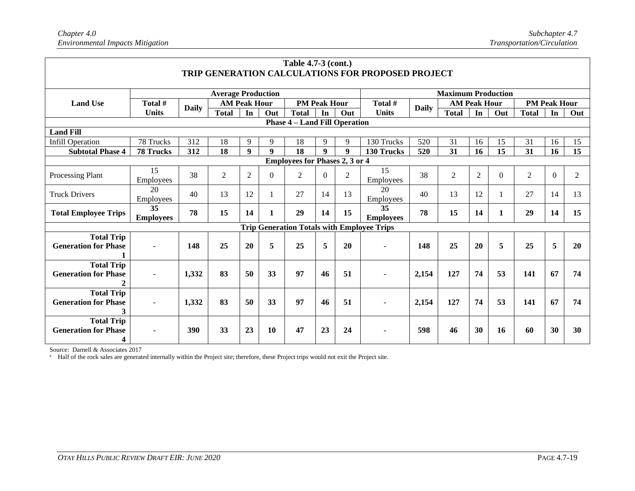| Table 4.7-3 (cont.)<br>TRIP GENERATION CALCULATIONS FOR PROPOSED PROJECT                                                   |                        |              |                           |                     |              |                                      |                     |                |                                                   |              |                           |                     |          |                     |          |                |
|----------------------------------------------------------------------------------------------------------------------------|------------------------|--------------|---------------------------|---------------------|--------------|--------------------------------------|---------------------|----------------|---------------------------------------------------|--------------|---------------------------|---------------------|----------|---------------------|----------|----------------|
|                                                                                                                            |                        |              | <b>Average Production</b> |                     |              |                                      |                     |                |                                                   |              | <b>Maximum Production</b> |                     |          |                     |          |                |
| <b>Land Use</b>                                                                                                            | Total #                | <b>Daily</b> |                           | <b>AM Peak Hour</b> |              |                                      | <b>PM Peak Hour</b> |                | Total #                                           | <b>Daily</b> |                           | <b>AM Peak Hour</b> |          | <b>PM Peak Hour</b> |          |                |
|                                                                                                                            | <b>Units</b>           |              | <b>Total</b>              | In                  | Out          | <b>Total</b>                         | In                  | Out            | <b>Units</b>                                      |              | <b>Total</b>              | In                  | Out      | <b>Total</b>        | In       | Out            |
|                                                                                                                            |                        |              |                           |                     |              | <b>Phase 4 – Land Fill Operation</b> |                     |                |                                                   |              |                           |                     |          |                     |          |                |
| <b>Land Fill</b>                                                                                                           |                        |              |                           |                     |              |                                      |                     |                |                                                   |              |                           |                     |          |                     |          |                |
| <b>Infill Operation</b>                                                                                                    | 78 Trucks              | 312          | 18                        | 9                   | 9            | 18                                   | 9                   | 9              | 130 Trucks                                        | 520          | 31                        | 16                  | 15       | 31                  | 16       | 15             |
| 18<br>$\boldsymbol{9}$<br>$\boldsymbol{9}$<br>18<br>$\boldsymbol{9}$<br>312<br><b>Subtotal Phase 4</b><br><b>78 Trucks</b> |                        |              |                           |                     |              | $\boldsymbol{9}$                     | 130 Trucks          | 520            | 31                                                | 16           | 15                        | 31                  | 16       | 15                  |          |                |
| <b>Employees for Phases 2, 3 or 4</b>                                                                                      |                        |              |                           |                     |              |                                      |                     |                |                                                   |              |                           |                     |          |                     |          |                |
| Processing Plant                                                                                                           | 15<br>Employees        | 38           | $\overline{2}$            | $\overline{2}$      | $\Omega$     | $\overline{2}$                       | $\Omega$            | $\overline{2}$ | 15<br>Employees                                   | 38           | $\overline{2}$            | 2                   | $\Omega$ | $\overline{2}$      | $\Omega$ | $\overline{2}$ |
| <b>Truck Drivers</b>                                                                                                       | 20<br><b>Employees</b> | 40           | 13                        | 12                  |              | 27                                   | 14                  | 13             | 20<br>Employees                                   | 40           | 13                        | 12                  | 1        | 27                  | 14       | 13             |
| <b>Total Employee Trips</b>                                                                                                | 35<br><b>Employees</b> | 78           | 15                        | 14                  | $\mathbf{1}$ | 29                                   | 14                  | 15             | 35<br><b>Employees</b>                            | 78           | 15                        | 14                  | 1        | 29                  | 14       | 15             |
|                                                                                                                            |                        |              |                           |                     |              |                                      |                     |                | <b>Trip Generation Totals with Employee Trips</b> |              |                           |                     |          |                     |          |                |
| <b>Total Trip</b><br><b>Generation for Phase</b>                                                                           |                        | 148          | 25                        | 20                  | 5            | 25                                   | 5                   | 20             | $\sim$                                            | 148          | 25                        | 20                  | 5        | 25                  | 5        | 20             |
| <b>Total Trip</b><br><b>Generation for Phase</b>                                                                           |                        | 1,332        | 83                        | 50                  | 33           | 97                                   | 46                  | 51             |                                                   | 2,154        | 127                       | 74                  | 53       | 141                 | 67       | 74             |
| <b>Total Trip</b><br><b>Generation for Phase</b><br>3                                                                      |                        | 1,332        | 83                        | 50                  | 33           | 97                                   | 46                  | 51             |                                                   | 2,154        | 127                       | 74                  | 53       | 141                 | 67       | 74             |
| <b>Total Trip</b><br>33<br><b>Generation for Phase</b><br>390<br>23<br>23<br>24<br>47<br>10<br>4                           |                        |              |                           |                     |              |                                      |                     |                |                                                   | 598          | 46                        | 30                  | 16       | 60                  | 30       | 30             |

<sup>a</sup> Half of the rock sales are generated internally within the Project site; therefore, these Project trips would not exit the Project site.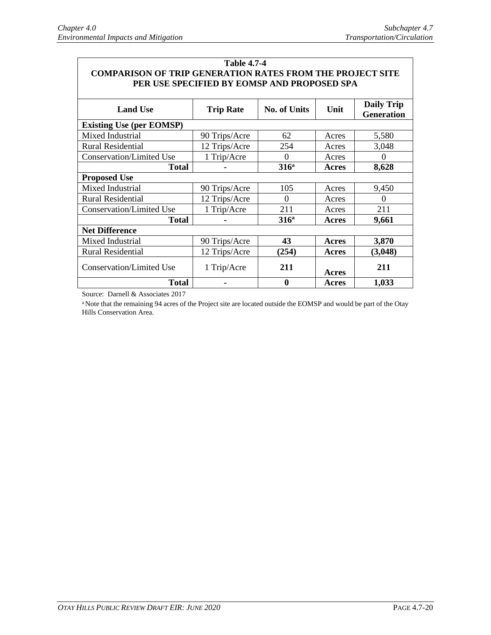# **Table 4.7-4 COMPARISON OF TRIP GENERATION RATES FROM THE PROJECT SITE PER USE SPECIFIED BY EOMSP AND PROPOSED SPA**

| <b>Land Use</b>                 | <b>Trip Rate</b> | <b>No. of Units</b> | Unit  | <b>Daily Trip</b><br><b>Generation</b> |
|---------------------------------|------------------|---------------------|-------|----------------------------------------|
| <b>Existing Use (per EOMSP)</b> |                  |                     |       |                                        |
| Mixed Industrial                | 90 Trips/Acre    | 62                  | Acres | 5,580                                  |
| <b>Rural Residential</b>        | 12 Trips/Acre    | 254                 | Acres | 3,048                                  |
| <b>Conservation/Limited Use</b> | 1 Trip/Acre      | $_{0}$              | Acres |                                        |
| Total                           |                  | 316 <sup>a</sup>    | Acres | 8,628                                  |
| <b>Proposed Use</b>             |                  |                     |       |                                        |
| Mixed Industrial                | 90 Trips/Acre    | 105                 | Acres | 9,450                                  |
| Rural Residential               | 12 Trips/Acre    | $\Omega$            | Acres | $\theta$                               |
| <b>Conservation/Limited Use</b> | 1 Trip/Acre      | 211                 | Acres | 211                                    |
| <b>Total</b>                    |                  | 316 <sup>a</sup>    | Acres | 9,661                                  |
| <b>Net Difference</b>           |                  |                     |       |                                        |
| Mixed Industrial                | 90 Trips/Acre    | 43                  | Acres | 3,870                                  |
| <b>Rural Residential</b>        | 12 Trips/Acre    | (254)               | Acres | (3,048)                                |
| Conservation/Limited Use        | 1 Trip/Acre      | 211                 | Acres | 211                                    |
| <b>Total</b>                    |                  | $\bf{0}$            | Acres | 1,033                                  |

Source: Darnell & Associates 2017

<sup>a</sup>Note that the remaining 94 acres of the Project site are located outside the EOMSP and would be part of the Otay Hills Conservation Area.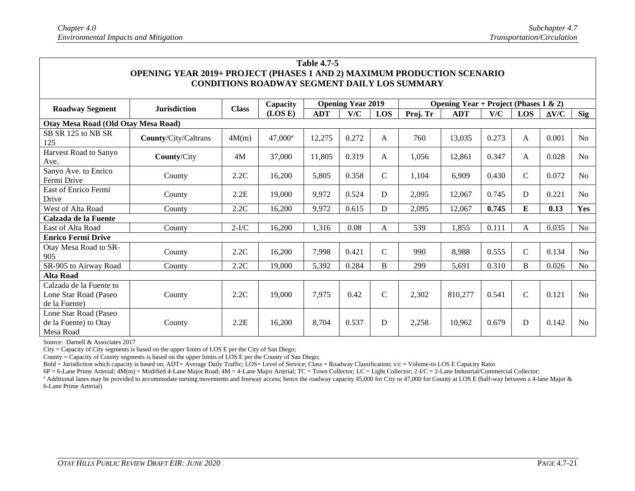| <b>Table 4.7-5</b>                                                                                                                    |                      |              |                  |            |                          |              |          |                                       |       |               |              |                |  |  |
|---------------------------------------------------------------------------------------------------------------------------------------|----------------------|--------------|------------------|------------|--------------------------|--------------|----------|---------------------------------------|-------|---------------|--------------|----------------|--|--|
| <b>OPENING YEAR 2019+ PROJECT (PHASES 1 AND 2) MAXIMUM PRODUCTION SCENARIO</b><br><b>CONDITIONS ROADWAY SEGMENT DAILY LOS SUMMARY</b> |                      |              |                  |            |                          |              |          |                                       |       |               |              |                |  |  |
|                                                                                                                                       |                      |              | Capacity         |            | <b>Opening Year 2019</b> |              |          | Opening Year + Project (Phases 1 & 2) |       |               |              |                |  |  |
| <b>Roadway Segment</b>                                                                                                                | <b>Jurisdiction</b>  | <b>Class</b> | (LOS E)          | <b>ADT</b> | V/C                      | LOS          | Proj. Tr | <b>ADT</b>                            | V/C   | LOS           | $\Delta V/C$ | <b>Sig</b>     |  |  |
| Otay Mesa Road (Old Otay Mesa Road)                                                                                                   |                      |              |                  |            |                          |              |          |                                       |       |               |              |                |  |  |
| SB SR 125 to NB SR<br>125                                                                                                             | County/City/Caltrans | 4M(m)        | $47,000^{\rm a}$ | 12,275     | 0.272                    | A            | 760      | 13,035                                | 0.273 | $\mathbf{A}$  | 0.001        | N <sub>o</sub> |  |  |
| Harvest Road to Sanyo<br>Ave.                                                                                                         | County/City          | 4M           | 37,000           | 11,805     | 0.319                    | A            | 1,056    | 12,861                                | 0.347 | $\mathbf{A}$  | 0.028        | No             |  |  |
| Sanyo Ave. to Enrico<br>Fermi Drive                                                                                                   | County               | 2.2C         | 16,200           | 5,805      | 0.358                    | $\mathsf{C}$ | 1,104    | 6,909                                 | 0.430 | $\mathcal{C}$ | 0.072        | No             |  |  |
| East of Enrico Fermi<br>Drive                                                                                                         | County               | 2.2E         | 19,000           | 9,972      | 0.524                    | D            | 2,095    | 12,067                                | 0.745 | D             | 0.221        | No             |  |  |
| West of Alta Road                                                                                                                     | County               | 2.2C         | 16,200           | 9,972      | 0.615                    | D            | 2,095    | 12,067                                | 0.745 | E             | 0.13         | Yes            |  |  |
| Calzada de la Fuente                                                                                                                  |                      |              |                  |            |                          |              |          |                                       |       |               |              |                |  |  |
| East of Alta Road                                                                                                                     | County               | $2-I/C$      | 16,200           | 1,316      | 0.08                     | A            | 539      | 1,855                                 | 0.111 | A             | 0.035        | N <sub>o</sub> |  |  |
| <b>Enrico Fermi Drive</b>                                                                                                             |                      |              |                  |            |                          |              |          |                                       |       |               |              |                |  |  |
| Otay Mesa Road to SR-<br>905                                                                                                          | County               | 2.2C         | 16,200           | 7,998      | 0.421                    | $\mathsf{C}$ | 990      | 8.988                                 | 0.555 | $\mathsf{C}$  | 0.134        | No             |  |  |
| SR-905 to Airway Road                                                                                                                 | County               | 2.2C         | 19,000           | 5,392      | 0.284                    | B            | 299      | 5,691                                 | 0.310 | B             | 0.026        | N <sub>o</sub> |  |  |
| <b>Alta Road</b>                                                                                                                      |                      |              |                  |            |                          |              |          |                                       |       |               |              |                |  |  |
| Calzada de la Fuente to<br>Lone Star Road (Paseo<br>de la Fuente)                                                                     | County               | 2.2C         | 19,000           | 7,975      | 0.42                     | $\mathbf C$  | 2,302    | 810,277                               | 0.541 | $\mathcal{C}$ | 0.121        | No             |  |  |
| Lone Star Road (Paseo<br>de la Fuente) to Otay<br>Mesa Road                                                                           | County               | 2.2E         | 16,200           | 8,704      | 0.537                    | D            | 2,258    | 10,962                                | 0.679 | D             | 0.142        | No             |  |  |

City = Capacity of City segments is based on the upper limits of LOS E per the City of San Diego;

County = Capacity of County segments is based on the upper limits of LOS E per the County of San Diego;

Bold = Jurisdiction which capacity is based on; ADT= Average Daily Traffic; LOS= Level of Service; Class = Roadway Classification; v/c = Volume-to LOS E Capacity Ratio

6P = 6-Lane Prime Arterial; 4M(m) = Modified 4-Lane Major Road; 4M = 4-Lane Major Arterial; TC = Town Collector; LC = Light Collector; 2-I/C = 2-Lane Industrial/Commercial Collector;

<sup>a</sup> Additional lanes may be provided to accommodate turning movements and freeway access; hence the roadway capacity 45,000 for City or 47,000 for County at LOS E (half-way between a 4-lane Major & 6-Lane Prime Arterial)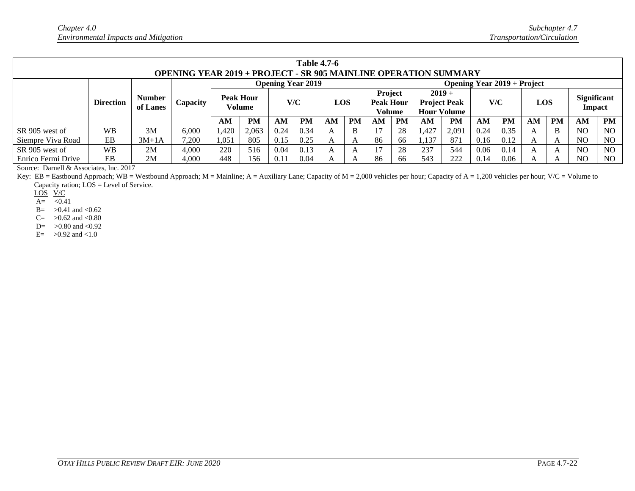|                    | <b>Table 4.7-6</b><br><b>OPENING YEAR 2019 + PROJECT - SR 905 MAINLINE OPERATION SUMMARY</b> |                           |          |       |                     |                          |           |                |           |                                              |           |                                 |                                    |      |           |     |              |                                     |                 |
|--------------------|----------------------------------------------------------------------------------------------|---------------------------|----------|-------|---------------------|--------------------------|-----------|----------------|-----------|----------------------------------------------|-----------|---------------------------------|------------------------------------|------|-----------|-----|--------------|-------------------------------------|-----------------|
|                    |                                                                                              |                           |          |       |                     | <b>Opening Year 2019</b> |           |                |           |                                              |           |                                 | <b>Opening Year 2019 + Project</b> |      |           |     |              |                                     |                 |
|                    | <b>Direction</b>                                                                             | <b>Number</b><br>of Lanes | Capacity |       | Peak Hour<br>Volume |                          | V/C       | <b>LOS</b>     |           | <b>Project</b><br><b>Peak Hour</b><br>Volume |           | $2019 +$<br><b>Project Peak</b> | <b>Hour Volume</b>                 | V/C  |           | LOS |              | <b>Significant</b><br><b>Impact</b> |                 |
|                    |                                                                                              |                           |          | AM    | <b>PM</b><br>AM     |                          | <b>PM</b> | AM             | <b>PM</b> | AM                                           | <b>PM</b> | AM                              | <b>PM</b>                          | AM   | <b>PM</b> | AM  | PM           | AM                                  | PM              |
| SR 905 west of     | <b>WB</b>                                                                                    | 3M                        | 6,000    | 1,420 | 2,063               | 0.24                     | 0.34      | $\mathbf{A}$   | B         | ר ו                                          | 28        | 1,427                           | 2,091                              | 0.24 | 0.35      | A   | <sub>B</sub> | N <sub>O</sub>                      | N <sub>O</sub>  |
| Siempre Viva Road  | EB                                                                                           | $3M+1A$                   | 7.200    | 1,051 | 805                 | 0.15                     | 0.25      | $\mathsf{A}$   |           | 86                                           | 66        | 1,137                           | 871                                | 0.16 | 0.12      | A   | $\mathsf{A}$ | NO                                  | NO <sub>1</sub> |
| SR 905 west of     | <b>WB</b>                                                                                    | 2M                        | 4.000    | 220   | 516                 | 0.04                     | 0.13      | $\overline{A}$ |           |                                              | 28        | 237                             | 544                                | 0.06 | 0.14      | A   |              | N <sub>O</sub>                      | N <sub>O</sub>  |
| Enrico Fermi Drive | EB                                                                                           | 2M                        | 4,000    | 448   | 156                 | 0.11                     | 0.04      |                |           | 86                                           | 66        | 543                             | 222                                | 0.14 | 0.06      |     |              | NO                                  | NO <sub>1</sub> |

Key: EB = Eastbound Approach; WB = Westbound Approach; M = Mainline; A = Auxiliary Lane; Capacity of M = 2,000 vehicles per hour; Capacity of A = 1,200 vehicles per hour; V/C = Volume to Capacity ration;  $\angle$  LOS = Level of Service.

 $\overline{LOS}$   $\overline{V/C}$ 

 $A=\overline{<0.41}$ 

B=  $>0.41$  and <0.62

 $C=$  >0.62 and <0.80

D=  $>0.80$  and  $< 0.92$ 

 $E=-50.92$  and  $<1.0$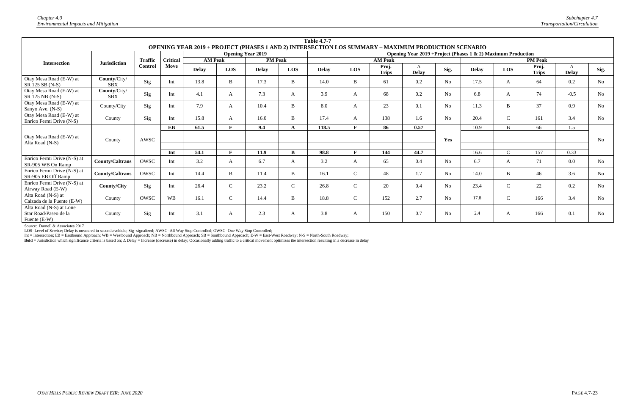| <b>Table 4.7-7</b><br><b>OPENING YEAR 2019 + PROJECT (PHASES 1 AND 2) INTERSECTION LOS SUMMARY – MAXIMUM PRODUCTION SCENARIO</b> |                            |                |                 |                |              |                                            |              |              |              |                       |                                                               |                |              |              |                       |                   |                |
|----------------------------------------------------------------------------------------------------------------------------------|----------------------------|----------------|-----------------|----------------|--------------|--------------------------------------------|--------------|--------------|--------------|-----------------------|---------------------------------------------------------------|----------------|--------------|--------------|-----------------------|-------------------|----------------|
|                                                                                                                                  |                            |                |                 |                |              |                                            |              |              |              |                       |                                                               |                |              |              |                       |                   |                |
|                                                                                                                                  |                            | <b>Traffic</b> | <b>Critical</b> | <b>AM Peak</b> |              | <b>Opening Year 2019</b><br><b>PM Peak</b> |              |              |              | <b>AM Peak</b>        | Opening Year 2019 + Project (Phases 1 & 2) Maximum Production |                |              |              | <b>PM Peak</b>        |                   |                |
| Intersection                                                                                                                     | <b>Jurisdiction</b>        | Control        | Move            | <b>Delay</b>   | LOS          | <b>Delay</b>                               | LOS          | <b>Delay</b> | LOS          | Proj.<br><b>Trips</b> | Δ<br><b>Delay</b>                                             | Sig.           | <b>Delay</b> | <b>LOS</b>   | Proj.<br><b>Trips</b> | Δ<br><b>Delay</b> | Sig.           |
| Otay Mesa Road (E-W) at<br>SR 125 SB (N-S)                                                                                       | County/City/<br><b>SBX</b> | Sig            | Int             | 13.8           | B            | 17.3                                       | $\mathbf{B}$ | 14.0         | $\mathbf{B}$ | 61                    | 0.2                                                           | N <sub>o</sub> | 17.5         | A            | 64                    | 0.2               | No             |
| Otay Mesa Road (E-W) at<br>SR 125 NB (N-S)                                                                                       | County/City/<br><b>SBX</b> | Sig            | Int             | 4.1            | $\mathbf{A}$ | 7.3                                        | A            | 3.9          | $\mathbf{A}$ | 68                    | 0.2                                                           | No             | 6.8          | A            | 74                    | $-0.5$            | No             |
| Otay Mesa Road (E-W) at<br>Sanyo Ave. (N-S)                                                                                      | County/City                | Sig            | Int             | 7.9            | $\mathbf{A}$ | 10.4                                       | B            | 8.0          | A            | 23                    | 0.1                                                           | N <sub>o</sub> | 11.3         | B            | 37                    | 0.9               | No             |
| Otay Mesa Road (E-W) at<br>Enrico Fermi Drive (N-S)                                                                              | County                     | Sig            | Int.            | 15.8           | $\mathbf{A}$ | 16.0                                       | B            | 17.4         | A            | 138                   | 1.6                                                           | No             | 20.4         | $\mathbf C$  | 161                   | 3.4               | N <sub>o</sub> |
|                                                                                                                                  |                            |                | EB              | 61.5           | $\mathbf{F}$ | 9.4                                        | A            | 118.5        | $\mathbf{F}$ | 86                    | 0.57                                                          |                | 10.9         | B            | 66                    | 1.5               |                |
| Otay Mesa Road (E-W) at                                                                                                          |                            |                |                 |                |              |                                            |              |              |              |                       |                                                               |                |              |              |                       |                   |                |
| Alta Road (N-S)                                                                                                                  | County                     | AWSC           |                 |                |              |                                            |              |              |              |                       |                                                               | Yes            |              |              |                       |                   | N <sub>o</sub> |
|                                                                                                                                  |                            |                | Int             | 54.1           | $\mathbf{F}$ | 11.9                                       | B            | 98.8         | $\mathbf{F}$ | 144                   | 44.7                                                          |                | 16.6         | $\mathsf{C}$ | 157                   | 0.33              |                |
| Enrico Fermi Drive (N-S) at<br>SR-905 WB On Ramp                                                                                 | <b>County/Caltrans</b>     | OWSC           | Int             | 3.2            | A            | 6.7                                        | A            | 3.2          | A            | 65                    | 0.4                                                           | N <sub>o</sub> | 6.7          | A            | 71                    | $0.0\,$           | No             |
| Enrico Fermi Drive (N-S) at<br>SR-905 EB Off Ramp                                                                                | <b>County/Caltrans</b>     | OWSC           | Int             | 14.4           | $\mathbf B$  | 11.4                                       | $\, {\bf B}$ | 16.1         | $\mathsf{C}$ | 48                    | 1.7                                                           | No             | 14.0         | $\, {\bf B}$ | 46                    | 3.6               | N <sub>o</sub> |
| Enrico Fermi Drive (N-S) at<br>Airway Road (E-W)                                                                                 | <b>County/City</b>         | Sig            | Int             | 26.4           | $\mathbf C$  | 23.2                                       | $\mathbf C$  | 26.8         | $\mathbf C$  | 20                    | 0.4                                                           | N <sub>o</sub> | 23.4         | $\mathbf C$  | 22                    | 0.2               | N <sub>o</sub> |
| Alta Road (N-S) at<br>Calzada de la Fuente (E-W)                                                                                 | County                     | OWSC           | <b>WB</b>       | 16.1           | $\mathsf C$  | 14.4                                       | $\mathbf{B}$ | 18.8         | $\mathsf{C}$ | 152                   | 2.7                                                           | N <sub>o</sub> | 17.8         | $\mathbf C$  | 166                   | 3.4               | No             |
| Alta Road (N-S) at Lone<br>Star Road/Paseo de la<br>Fuente (E-W)                                                                 | County                     | Sig            | Int             | 3.1            | A            | 2.3                                        | A            | 3.8          | A            | 150                   | 0.7                                                           | N <sub>o</sub> | 2.4          | A            | 166                   | 0.1               | No             |

LOS=Level of Service; Delay is measured in seconds/vehicle; Sig=signalized; AWSC=All Way Stop Controlled; OWSC=One Way Stop Controlled;

Int = Intersection; EB = Eastbound Approach; WB = Westbound Approach; NB = Northbound Approach; SB = Southbound Approach; E-W = East-West Roadway; N-S = North-South Roadway;

**Bold** = Jurisdiction which significance criteria is based on;  $\Delta$  Delay = Increase (decrease) in delay; Occasionally adding traffic to a critical movement optimizes the intersection resulting in a decrease in delay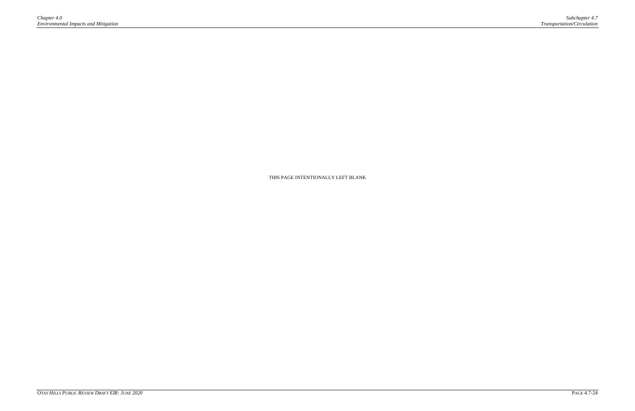THIS PAGE INTENTIONALLY LEFT BLANK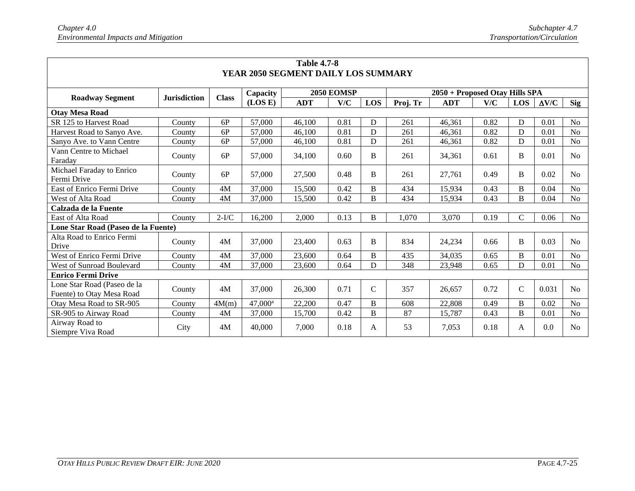| <b>Table 4.7-8</b>                                       |                     |              |                     |            |                   |             |          |                                |      |              |              |                |  |
|----------------------------------------------------------|---------------------|--------------|---------------------|------------|-------------------|-------------|----------|--------------------------------|------|--------------|--------------|----------------|--|
| YEAR 2050 SEGMENT DAILY LOS SUMMARY                      |                     |              |                     |            |                   |             |          |                                |      |              |              |                |  |
|                                                          |                     |              | Capacity            |            | <b>2050 EOMSP</b> |             |          | 2050 + Proposed Otay Hills SPA |      |              |              |                |  |
| <b>Roadway Segment</b>                                   | <b>Jurisdiction</b> | <b>Class</b> | (LOS E)             | <b>ADT</b> | V/C               | LOS         | Proj. Tr | <b>ADT</b>                     | V/C  | LOS          | $\Delta V/C$ | <b>Sig</b>     |  |
| <b>Otay Mesa Road</b>                                    |                     |              |                     |            |                   |             |          |                                |      |              |              |                |  |
| SR 125 to Harvest Road                                   | County              | 6P           | 57,000              | 46,100     | 0.81              | D           | 261      | 46,361                         | 0.82 | D            | 0.01         | N <sub>0</sub> |  |
| Harvest Road to Sanyo Ave.                               | County              | 6P           | 57,000              | 46,100     | 0.81              | D           | 261      | 46,361                         | 0.82 | D            | 0.01         | N <sub>o</sub> |  |
| Sanyo Ave. to Vann Centre                                | County              | 6P           | 57,000              | 46,100     | 0.81              | D           | 261      | 46,361                         | 0.82 | D            | 0.01         | No             |  |
| Vann Centre to Michael<br>Faraday                        | County              | 6P           | 57,000              | 34,100     | 0.60              | B           | 261      | 34,361                         | 0.61 | B            | 0.01         | N <sub>o</sub> |  |
| Michael Faraday to Enrico<br>Fermi Drive                 | County              | 6P           | 57,000              | 27,500     | 0.48              | B           | 261      | 27,761                         | 0.49 | B            | 0.02         | No             |  |
| East of Enrico Fermi Drive                               | County              | 4M           | 37,000              | 15,500     | 0.42              | B           | 434      | 15,934                         | 0.43 | B            | 0.04         | N <sub>o</sub> |  |
| West of Alta Road                                        | County              | 4M           | 37,000              | 15,500     | 0.42              | B           | 434      | 15,934                         | 0.43 | B            | 0.04         | N <sub>o</sub> |  |
| Calzada de la Fuente                                     |                     |              |                     |            |                   |             |          |                                |      |              |              |                |  |
| East of Alta Road                                        | County              | $2-I/C$      | 16,200              | 2,000      | 0.13              | B           | 1,070    | 3,070                          | 0.19 | $\mathsf{C}$ | 0.06         | N <sub>o</sub> |  |
| Lone Star Road (Paseo de la Fuente)                      |                     |              |                     |            |                   |             |          |                                |      |              |              |                |  |
| Alta Road to Enrico Fermi<br>Drive                       | County              | 4M           | 37,000              | 23,400     | 0.63              | B           | 834      | 24,234                         | 0.66 | B            | 0.03         | No             |  |
| West of Enrico Fermi Drive                               | County              | 4M           | 37,000              | 23,600     | 0.64              | B           | 435      | 34,035                         | 0.65 | B            | 0.01         | N <sub>o</sub> |  |
| West of Sunroad Boulevard                                | County              | 4M           | 37,000              | 23,600     | 0.64              | D           | 348      | 23,948                         | 0.65 | D            | 0.01         | No             |  |
| <b>Enrico Fermi Drive</b>                                |                     |              |                     |            |                   |             |          |                                |      |              |              |                |  |
| Lone Star Road (Paseo de la<br>Fuente) to Otay Mesa Road | County              | 4M           | 37,000              | 26,300     | 0.71              | $\mathbf C$ | 357      | 26,657                         | 0.72 | $\mathsf{C}$ | 0.031        | <b>No</b>      |  |
| Otay Mesa Road to SR-905                                 | County              | 4M(m)        | 47,000 <sup>a</sup> | 22,200     | 0.47              | B           | 608      | 22,808                         | 0.49 | B            | 0.02         | N <sub>o</sub> |  |
| SR-905 to Airway Road                                    | County              | 4M           | 37,000              | 15,700     | 0.42              | B           | 87       | 15,787                         | 0.43 | B            | 0.01         | No             |  |
| Airway Road to<br>Siempre Viva Road                      | City                | 4M           | 40,000              | 7,000      | 0.18              | A           | 53       | 7,053                          | 0.18 | A            | 0.0          | N <sub>0</sub> |  |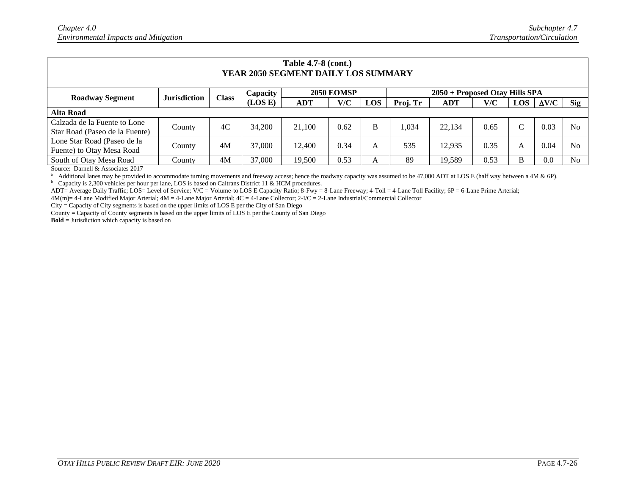|                                | <b>Table 4.7-8 (cont.)</b><br>YEAR 2050 SEGMENT DAILY LOS SUMMARY |              |                 |            |                   |            |          |                                |      |     |              |                |  |  |  |
|--------------------------------|-------------------------------------------------------------------|--------------|-----------------|------------|-------------------|------------|----------|--------------------------------|------|-----|--------------|----------------|--|--|--|
|                                | <b>Jurisdiction</b>                                               |              | <b>Capacity</b> |            | <b>2050 EOMSP</b> |            |          | 2050 + Proposed Otay Hills SPA |      |     |              |                |  |  |  |
| <b>Roadway Segment</b>         |                                                                   | <b>Class</b> | (LOS E)         | <b>ADT</b> | V/C               | <b>LOS</b> | Proj. Tr | <b>ADT</b>                     | V/C  | LOS | $\Delta V/C$ | <b>Sig</b>     |  |  |  |
| Alta Road                      |                                                                   |              |                 |            |                   |            |          |                                |      |     |              |                |  |  |  |
| Calzada de la Fuente to Lone   | County                                                            | AC           | 34,200          | 21,100     | 0.62              | B          | 1,034    | 22,134                         | 0.65 | C   | 0.03         | N <sub>o</sub> |  |  |  |
| Star Road (Paseo de la Fuente) |                                                                   |              |                 |            |                   |            |          |                                |      |     |              |                |  |  |  |
| Lone Star Road (Paseo de la    | County                                                            | 4M           | 37,000          | 12.400     | 0.34              |            | 535      | 12.935                         | 0.35 |     | 0.04         | N <sub>0</sub> |  |  |  |
| Fuente) to Otay Mesa Road      |                                                                   |              |                 |            |                   | A          |          |                                |      | A   |              |                |  |  |  |
| South of Otay Mesa Road        | County                                                            | 4M           | 37,000          | 19,500     | 0.53              | A          | 89       | 19,589                         | 0.53 | B   | 0.0          | No             |  |  |  |

<sup>a</sup> Additional lanes may be provided to accommodate turning movements and freeway access; hence the roadway capacity was assumed to be 47,000 ADT at LOS E (half way between a 4M & 6P).

<sup>b</sup> Capacity is 2,300 vehicles per hour per lane, LOS is based on Caltrans District 11 & HCM procedures.

ADT= Average Daily Traffic; LOS= Level of Service; V/C = Volume-to LOS E Capacity Ratio; 8-Fwy = 8-Lane Freeway; 4-Toll = 4-Lane Toll Facility; 6P = 6-Lane Prime Arterial;

4M(m)= 4-Lane Modified Major Arterial; 4M = 4-Lane Major Arterial; 4C = 4-Lane Collector; 2-I/C = 2-Lane Industrial/Commercial Collector

City = Capacity of City segments is based on the upper limits of LOS E per the City of San Diego

County = Capacity of County segments is based on the upper limits of LOS E per the County of San Diego

**Bold** = Jurisdiction which capacity is based on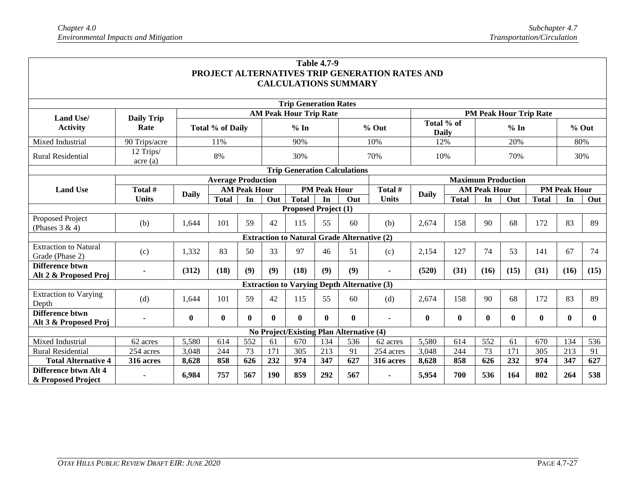|                                                 |                                                    |                               |                     |              |                     |                              | <b>Table 4.7-9</b> | <b>CALCULATIONS SUMMARY</b>                        | PROJECT ALTERNATIVES TRIP GENERATION RATES AND |                            |                               |                           |                     |                  |          |              |  |  |
|-------------------------------------------------|----------------------------------------------------|-------------------------------|---------------------|--------------|---------------------|------------------------------|--------------------|----------------------------------------------------|------------------------------------------------|----------------------------|-------------------------------|---------------------------|---------------------|------------------|----------|--------------|--|--|
|                                                 |                                                    |                               |                     |              |                     | <b>Trip Generation Rates</b> |                    |                                                    |                                                |                            |                               |                           |                     |                  |          |              |  |  |
| Land Use/                                       | <b>Daily Trip</b>                                  | <b>AM Peak Hour Trip Rate</b> |                     |              |                     |                              |                    |                                                    |                                                |                            | <b>PM Peak Hour Trip Rate</b> |                           |                     |                  |          |              |  |  |
| <b>Activity</b>                                 | Rate                                               | <b>Total % of Daily</b>       |                     |              | % In                |                              |                    | % Out                                              |                                                | Total % of<br><b>Daily</b> |                               | % In                      |                     |                  |          | $%$ Out      |  |  |
| Mixed Industrial                                | 90 Trips/acre                                      | 11%                           |                     |              | 90%                 |                              |                    | 10%                                                |                                                | 12%                        |                               | 20%                       |                     | 80%              |          |              |  |  |
| <b>Rural Residential</b>                        | 12 Trips/<br>accre(a)                              | 8%                            |                     |              | 30%                 |                              |                    | 70%                                                |                                                | 10%                        |                               | 70%                       |                     |                  |          | 30%          |  |  |
|                                                 |                                                    |                               |                     |              |                     |                              |                    | <b>Trip Generation Calculations</b>                |                                                |                            |                               |                           |                     |                  |          |              |  |  |
|                                                 |                                                    | <b>Average Production</b>     |                     |              |                     |                              |                    |                                                    |                                                |                            |                               | <b>Maximum Production</b> |                     |                  |          |              |  |  |
| <b>Land Use</b>                                 | Total #                                            | <b>Daily</b>                  | <b>AM Peak Hour</b> |              | <b>PM Peak Hour</b> |                              |                    | Total #                                            | <b>Daily</b>                                   |                            | <b>AM Peak Hour</b>           |                           | <b>PM Peak Hour</b> |                  |          |              |  |  |
|                                                 | <b>Units</b>                                       |                               | <b>Total</b>        | In           | Out                 | <b>Total</b>                 | In                 | Out                                                | <b>Units</b>                                   |                            | <b>Total</b>                  | In                        | Out                 | <b>Total</b>     | In       | Out          |  |  |
|                                                 |                                                    |                               |                     |              |                     | <b>Proposed Project (1)</b>  |                    |                                                    |                                                |                            |                               |                           |                     |                  |          |              |  |  |
| Proposed Project<br>(Phases $3 & 4$ )           | (b)                                                | 1.644                         | 101                 | 59           | 42                  | 115                          | 55                 | 60                                                 | (b)                                            | 2,674                      | 158                           | 90                        | 68                  | 172              | 83       | 89           |  |  |
|                                                 | <b>Extraction to Natural Grade Alternative (2)</b> |                               |                     |              |                     |                              |                    |                                                    |                                                |                            |                               |                           |                     |                  |          |              |  |  |
| <b>Extraction to Natural</b><br>Grade (Phase 2) | (c)                                                | 1,332                         | 83                  | 50           | 33                  | 97                           | 46                 | 51                                                 | (c)                                            | 2,154                      | 127                           | 74                        | 53                  | 141              | 67       | 74           |  |  |
| Difference btwn<br>Alt 2 & Proposed Proj        |                                                    | (312)                         | (18)                | (9)          | (9)                 | (18)                         | (9)                | (9)                                                |                                                | (520)                      | (31)                          | (16)                      | (15)                | (31)             | (16)     | (15)         |  |  |
|                                                 |                                                    |                               |                     |              |                     |                              |                    | <b>Extraction to Varying Depth Alternative (3)</b> |                                                |                            |                               |                           |                     |                  |          |              |  |  |
| <b>Extraction to Varying</b><br>Depth           | (d)                                                | 1,644                         | 101                 | 59           | 42                  | 115                          | 55                 | 60                                                 | (d)                                            | 2,674                      | 158                           | 90                        | 68                  | 172              | 83       | 89           |  |  |
| Difference btwn<br>Alt 3 & Proposed Proj        |                                                    | $\boldsymbol{0}$              | $\mathbf{0}$        | $\mathbf{0}$ | 0                   | $\mathbf{0}$                 | 0                  | $\bf{0}$                                           |                                                | $\mathbf{0}$               | 0                             | $\mathbf{0}$              | $\mathbf{0}$        | $\bf{0}$         | $\bf{0}$ | $\mathbf{0}$ |  |  |
|                                                 |                                                    |                               |                     |              |                     |                              |                    | No Project/Existing Plan Alternative (4)           |                                                |                            |                               |                           |                     |                  |          |              |  |  |
| Mixed Industrial                                | 62 acres                                           | 5,580                         | 614                 | 552          | 61                  | 670                          | 134                | 536                                                | 62 acres                                       | 5,580                      | 614                           | 552                       | 61                  | 670              | 134      | 536          |  |  |
| <b>Rural Residential</b>                        | 254 acres                                          | 3,048                         | 244                 | 73           | 171                 | 305                          | $\overline{213}$   | 91                                                 | 254 acres                                      | 3,048                      | 244                           | 73                        | $\overline{171}$    | $\overline{305}$ | 213      | 91           |  |  |
| <b>Total Alternative 4</b>                      | 316 acres                                          | 8,628                         | 858                 | 626          | 232                 | 974                          | 347                | 627                                                | 316 acres                                      | 8,628                      | 858                           | 626                       | 232                 | 974              | 347      | 627          |  |  |
| Difference btwn Alt 4<br>& Proposed Project     |                                                    | 6,984                         | 757                 | 567          | 190                 | 859                          | 292                | 567                                                |                                                | 5,954                      | 700                           | 536                       | 164                 | 802              | 264      | 538          |  |  |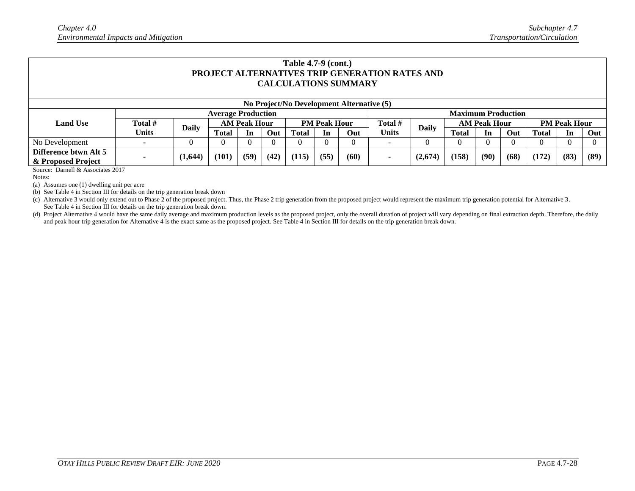### **Table 4.7-9 (cont.) PROJECT ALTERNATIVES TRIP GENERATION RATES AND CALCULATIONS SUMMARY**

| No Project/No Development Alternative (5)   |                           |         |       |                     |      |              |                     |      |       |                           |                     |      |      |              |                     |      |  |
|---------------------------------------------|---------------------------|---------|-------|---------------------|------|--------------|---------------------|------|-------|---------------------------|---------------------|------|------|--------------|---------------------|------|--|
| <b>Land Use</b>                             | <b>Average Production</b> |         |       |                     |      |              |                     |      |       | <b>Maximum Production</b> |                     |      |      |              |                     |      |  |
|                                             | Total #                   |         |       | <b>AM Peak Hour</b> |      |              | <b>PM Peak Hour</b> |      |       |                           | <b>AM Peak Hour</b> |      |      |              | <b>PM Peak Hour</b> |      |  |
|                                             | <b>Units</b>              | Daily   | Total | In                  | Out  | <b>Total</b> | In                  | Out  | Units | <b>Daily</b>              | <b>Total</b>        | In   | Out  | <b>Total</b> | In                  | Out  |  |
| No Development                              |                           |         |       |                     |      |              |                     |      |       |                           |                     |      |      |              |                     |      |  |
| Difference btwn Alt 5<br>& Proposed Project |                           | (1,644) | (101) | (59)                | (42) | (115)        | (55)                | (60) |       | (2.674)                   | (158)               | (90) | (68) | (172)        | (83)                | (89) |  |

Source: Darnell & Associates 2017

Notes:

(a) Assumes one (1) dwelling unit per acre

(b) See Table 4 in Section III for details on the trip generation break down

(c) Alternative 3 would only extend out to Phase 2 of the proposed project. Thus, the Phase 2 trip generation from the proposed project would represent the maximum trip generation potential for Alternative 3. See Table 4 in Section III for details on the trip generation break down.

(d) Project Alternative 4 would have the same daily average and maximum production levels as the proposed project, only the overall duration of project will vary depending on final extraction depth. Therefore, the daily and peak hour trip generation for Alternative 4 is the exact same as the proposed project. See Table 4 in Section III for details on the trip generation break down.